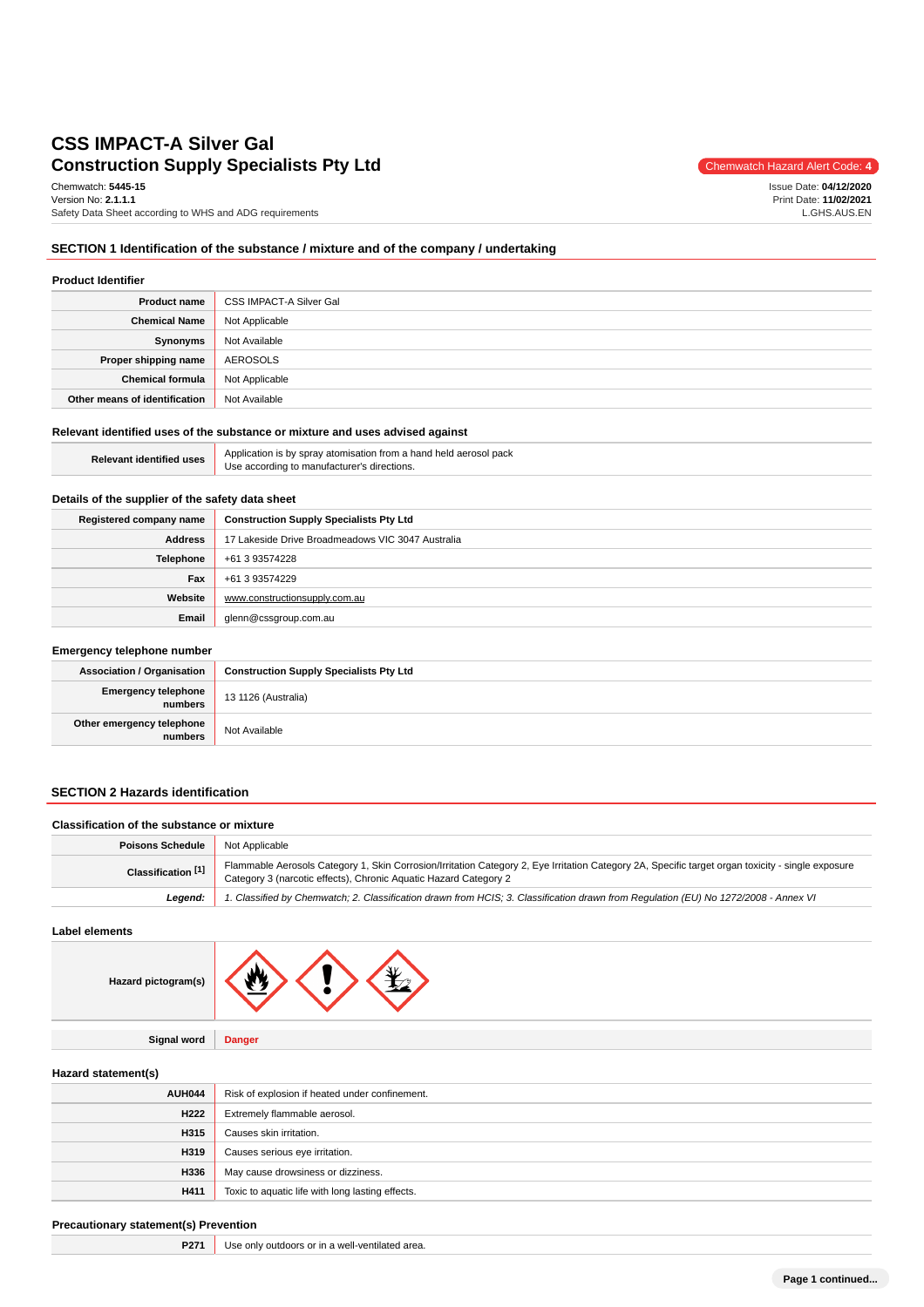# **Construction Supply Specialists Pty Ltd** Construction Supply Specialists Pty Ltd **CSS IMPACT-A Silver Gal**

Chemwatch: **5445-15** Version No: **2.1.1.1** Safety Data Sheet according to WHS and ADG requirements

Issue Date: **04/12/2020** Print Date: **11/02/2021** L.GHS.AUS.EN

# **SECTION 1 Identification of the substance / mixture and of the company / undertaking**

| <b>Product Identifier</b>     |                         |  |
|-------------------------------|-------------------------|--|
| <b>Product name</b>           | CSS IMPACT-A Silver Gal |  |
| <b>Chemical Name</b>          | Not Applicable          |  |
| Synonyms                      | Not Available           |  |
| Proper shipping name          | AEROSOLS                |  |
| <b>Chemical formula</b>       | Not Applicable          |  |
| Other means of identification | Not Available           |  |

# **Relevant identified uses of the substance or mixture and uses advised against**

| <b>Relevant identified uses</b> | Application is by spray atomisation from a hand held aerosol pack<br>Use according to manufacturer's directions. |
|---------------------------------|------------------------------------------------------------------------------------------------------------------|
|---------------------------------|------------------------------------------------------------------------------------------------------------------|

#### **Details of the supplier of the safety data sheet**

| Registered company name | <b>Construction Supply Specialists Pty Ltd</b>    |  |
|-------------------------|---------------------------------------------------|--|
| <b>Address</b>          | 17 Lakeside Drive Broadmeadows VIC 3047 Australia |  |
| <b>Telephone</b>        | +61 3 93574228                                    |  |
| Fax                     | +61 3 93574229                                    |  |
| Website                 | www.constructionsupply.com.au                     |  |
| Email                   | glenn@cssgroup.com.au                             |  |

#### **Emergency telephone number**

| <b>Association / Organisation</b>              | <b>Construction Supply Specialists Pty Ltd</b> |  |
|------------------------------------------------|------------------------------------------------|--|
| <b>Emergency telephone</b> 13 1126 (Australia) |                                                |  |
| Other emergency telephone<br>numbers           | Not Available                                  |  |

### **SECTION 2 Hazards identification**

#### **Classification of the substance or mixture**

| <b>Poisons Schedule</b> | Not Applicable                                                                                                                                                                                                        |  |
|-------------------------|-----------------------------------------------------------------------------------------------------------------------------------------------------------------------------------------------------------------------|--|
| Classification [1]      | Flammable Aerosols Category 1, Skin Corrosion/Irritation Category 2, Eye Irritation Category 2A, Specific target organ toxicity - single exposure<br>Category 3 (narcotic effects), Chronic Aquatic Hazard Category 2 |  |
| Leaend:                 | 1. Classified by Chemwatch; 2. Classification drawn from HCIS; 3. Classification drawn from Regulation (EU) No 1272/2008 - Annex VI                                                                                   |  |

#### **Label elements**

| rd pictogram(s) |  |  |  |
|-----------------|--|--|--|
|-----------------|--|--|--|

**Signal word Danger**

#### **Hazard statement(s)**

**Haza** 

| AUH044           | Risk of explosion if heated under confinement.   |  |
|------------------|--------------------------------------------------|--|
| H <sub>222</sub> | Extremely flammable aerosol.                     |  |
| H315             | Causes skin irritation.                          |  |
| H319             | Causes serious eye irritation.                   |  |
| H336             | May cause drowsiness or dizziness.               |  |
| H411             | Toxic to aquatic life with long lasting effects. |  |

#### **Precautionary statement(s) Prevention**

| <b>P271</b> Use only outdoors or in a well-ventilated area. |  |  |  |  |
|-------------------------------------------------------------|--|--|--|--|
|-------------------------------------------------------------|--|--|--|--|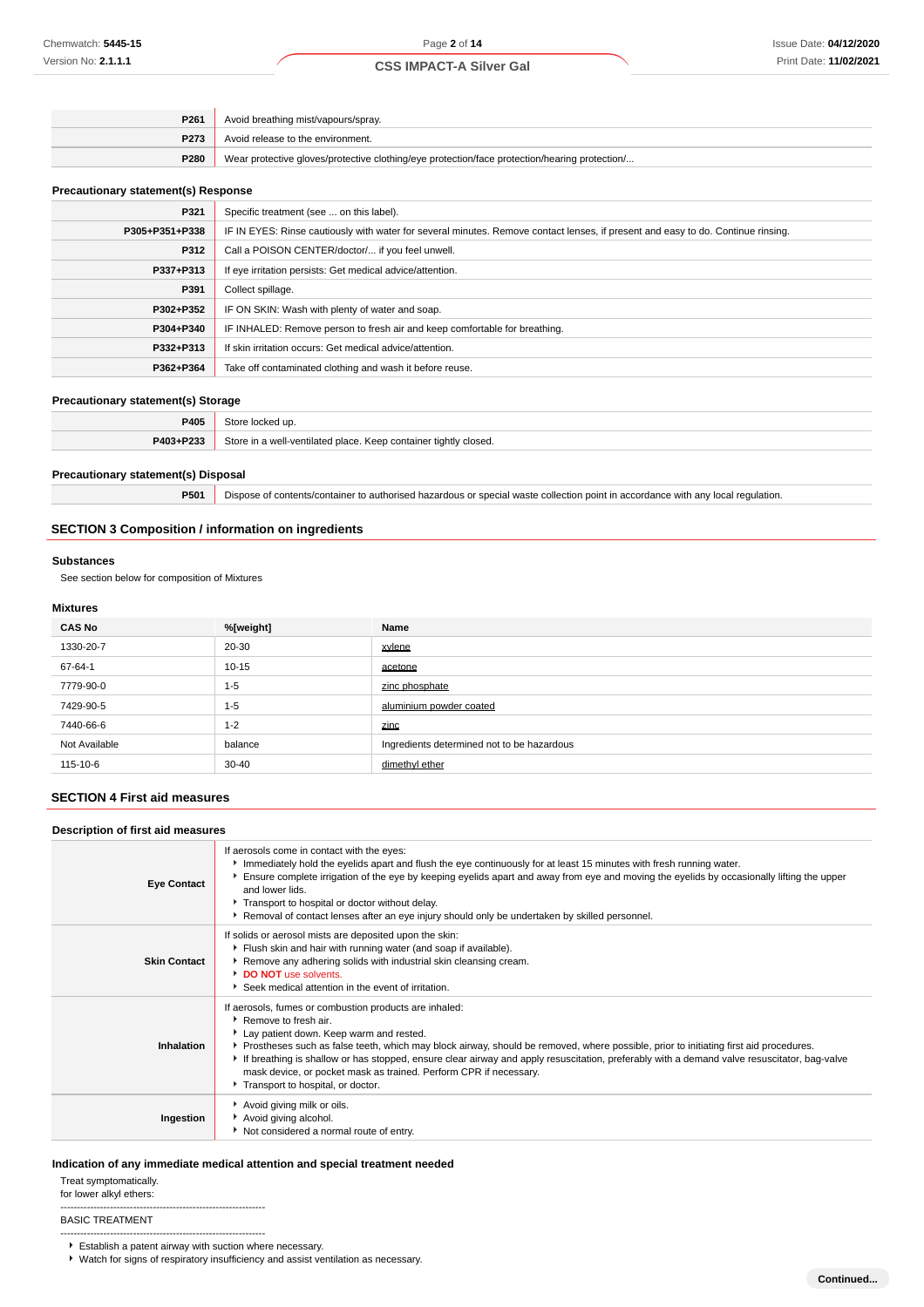| P261        | Avoid breathing mist/vapours/spray.                                                           |  |
|-------------|-----------------------------------------------------------------------------------------------|--|
| <b>P273</b> | Avoid release to the environment.                                                             |  |
| <b>P280</b> | Wear protective gloves/protective clothing/eye protection/face protection/hearing protection/ |  |

#### **Precautionary statement(s) Response**

| P321           | Specific treatment (see  on this label).                                                                                         |  |
|----------------|----------------------------------------------------------------------------------------------------------------------------------|--|
| P305+P351+P338 | IF IN EYES: Rinse cautiously with water for several minutes. Remove contact lenses, if present and easy to do. Continue rinsing. |  |
| P312           | Call a POISON CENTER/doctor/ if you feel unwell.                                                                                 |  |
| P337+P313      | If eye irritation persists: Get medical advice/attention.                                                                        |  |
| P391           | Collect spillage.                                                                                                                |  |
| P302+P352      | IF ON SKIN: Wash with plenty of water and soap.                                                                                  |  |
| P304+P340      | IF INHALED: Remove person to fresh air and keep comfortable for breathing.                                                       |  |
| P332+P313      | If skin irritation occurs: Get medical advice/attention.                                                                         |  |
| P362+P364      | Take off contaminated clothing and wash it before reuse.                                                                         |  |

#### **Precautionary statement(s) Storage**

| ____        | __                                                               |
|-------------|------------------------------------------------------------------|
| <b>P405</b> |                                                                  |
| P403+P233   | Store in a well-ventilated place. Keep container tightly closed. |
|             |                                                                  |

#### **Precautionary statement(s) Disposal**

**P501** Dispose of contents/container to authorised hazardous or special waste collection point in accordance with any local regulation.

# **SECTION 3 Composition / information on ingredients**

#### **Substances**

See section below for composition of Mixtures

### **Mixtures**

| <b>CAS No</b> | %[weight] | Name                                       |
|---------------|-----------|--------------------------------------------|
| 1330-20-7     | 20-30     | xylene                                     |
| 67-64-1       | $10 - 15$ | acetone                                    |
| 7779-90-0     | $1 - 5$   | zinc phosphate                             |
| 7429-90-5     | $1 - 5$   | aluminium powder coated                    |
| 7440-66-6     | $1 - 2$   | zinc                                       |
| Not Available | balance   | Ingredients determined not to be hazardous |
| 115-10-6      | $30 - 40$ | dimethyl ether                             |

### **SECTION 4 First aid measures**

| Description of first aid measures |                                                                                                                                                                                                                                                                                                                                                                                                                                                                                                                                                    |
|-----------------------------------|----------------------------------------------------------------------------------------------------------------------------------------------------------------------------------------------------------------------------------------------------------------------------------------------------------------------------------------------------------------------------------------------------------------------------------------------------------------------------------------------------------------------------------------------------|
| <b>Eye Contact</b>                | If aerosols come in contact with the eyes:<br>Immediately hold the eyelids apart and flush the eye continuously for at least 15 minutes with fresh running water.<br>Ensure complete irrigation of the eye by keeping eyelids apart and away from eye and moving the eyelids by occasionally lifting the upper<br>and lower lids.<br>Transport to hospital or doctor without delay.<br>Removal of contact lenses after an eye injury should only be undertaken by skilled personnel.                                                               |
| <b>Skin Contact</b>               | If solids or aerosol mists are deposited upon the skin:<br>Filush skin and hair with running water (and soap if available).<br>Remove any adhering solids with industrial skin cleansing cream.<br>DO NOT use solvents.<br>Seek medical attention in the event of irritation.                                                                                                                                                                                                                                                                      |
| Inhalation                        | If aerosols, fumes or combustion products are inhaled:<br>$\blacktriangleright$ Remove to fresh air.<br>Lay patient down. Keep warm and rested.<br>▶ Prostheses such as false teeth, which may block airway, should be removed, where possible, prior to initiating first aid procedures.<br>If breathing is shallow or has stopped, ensure clear airway and apply resuscitation, preferably with a demand valve resuscitator, bag-valve<br>mask device, or pocket mask as trained. Perform CPR if necessary.<br>Transport to hospital, or doctor. |
| Ingestion                         | Avoid giving milk or oils.<br>Avoid giving alcohol.<br>Not considered a normal route of entry.                                                                                                                                                                                                                                                                                                                                                                                                                                                     |

#### **Indication of any immediate medical attention and special treatment needed**

Treat symptomatically.

for lower alkyl ethers:

#### BASIC TREATMENT

-------------------------------------------------------------- Establish a patent airway with suction where necessary.

--------------------------------------------------------------

Watch for signs of respiratory insufficiency and assist ventilation as necessary.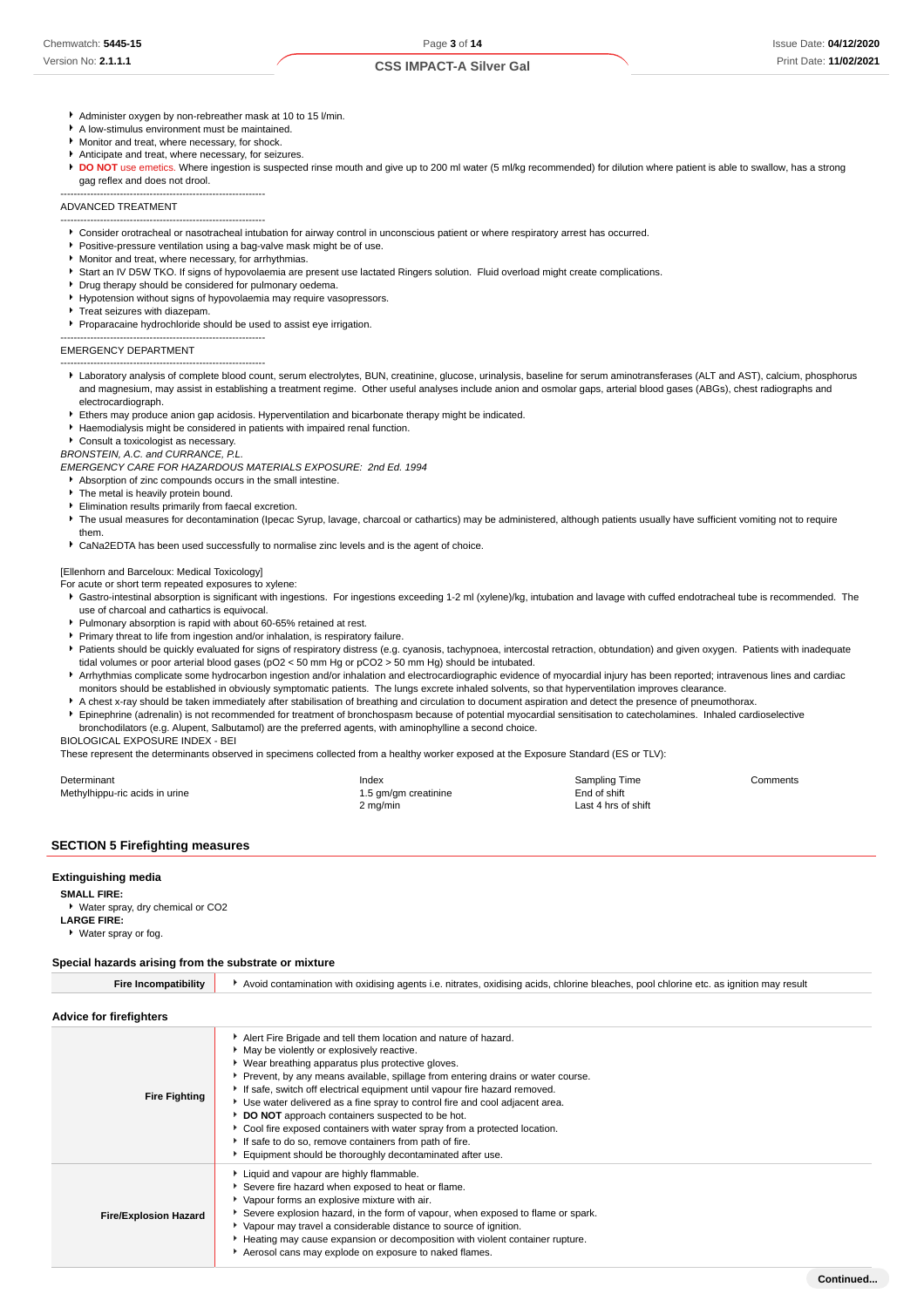- **CSS IMPACT-A Silver Gal**
- Administer oxygen by non-rebreather mask at 10 to 15 l/min.
- A low-stimulus environment must be maintained.
- Monitor and treat, where necessary, for shock.
- Anticipate and treat, where necessary, for seizures.
- **DO NOT** use emetics. Where ingestion is suspected rinse mouth and give up to 200 ml water (5 ml/kg recommended) for dilution where patient is able to swallow, has a strong gag reflex and does not drool.

-------------------------------------------------------------- ADVANCED TREATMENT

- -------------------------------------------------------------- Consider orotracheal or nasotracheal intubation for airway control in unconscious patient or where respiratory arrest has occurred.
- Positive-pressure ventilation using a bag-valve mask might be of use.
- Monitor and treat, where necessary, for arrhythmias.
- Start an IV D5W TKO. If signs of hypovolaemia are present use lactated Ringers solution. Fluid overload might create complications.
- Drug therapy should be considered for pulmonary oedema.
- Hypotension without signs of hypovolaemia may require vasopressors.
- Treat seizures with diazepam
- Proparacaine hydrochloride should be used to assist eye irrigation.

#### -------------------------------------------------------------- EMERGENCY DEPARTMENT

- -------------------------------------------------------------- Laboratory analysis of complete blood count, serum electrolytes, BUN, creatinine, glucose, urinalysis, baseline for serum aminotransferases (ALT and AST), calcium, phosphorus and magnesium, may assist in establishing a treatment regime. Other useful analyses include anion and osmolar gaps, arterial blood gases (ABGs), chest radiographs and electrocardiograph.
- Ethers may produce anion gap acidosis. Hyperventilation and bicarbonate therapy might be indicated.
- Haemodialysis might be considered in patients with impaired renal function.
- Consult a toxicologist as necessary.
- BRONSTEIN, A.C. and CURRANCE, P.L.

EMERGENCY CARE FOR HAZARDOUS MATERIALS EXPOSURE: 2nd Ed. 1994

- Absorption of zinc compounds occurs in the small intestine.
- The metal is heavily protein bound.
- Elimination results primarily from faecal excretion.
- The usual measures for decontamination (Ipecac Syrup, lavage, charcoal or cathartics) may be administered, although patients usually have sufficient vomiting not to require them.
- CaNa2EDTA has been used successfully to normalise zinc levels and is the agent of choice.

## [Ellenhorn and Barceloux: Medical Toxicology]

- For acute or short term repeated exposures to xylene:
- Gastro-intestinal absorption is significant with ingestions. For ingestions exceeding 1-2 ml (xylene)/kg, intubation and lavage with cuffed endotracheal tube is recommended. The use of charcoal and cathartics is equivocal.
- Pulmonary absorption is rapid with about 60-65% retained at rest.
- Primary threat to life from ingestion and/or inhalation, is respiratory failure.
- Patients should be quickly evaluated for signs of respiratory distress (e.g. cyanosis, tachypnoea, intercostal retraction, obtundation) and given oxygen. Patients with inadequate tidal volumes or poor arterial blood gases (pO2 < 50 mm Hg or pCO2 > 50 mm Hg) should be intubated.
- **Arrhythmias complicate some hydrocarbon ingestion and/or inhalation and electrocardiographic evidence of myocardial injury has been reported; intravenous lines and cardiac** monitors should be established in obviously symptomatic patients. The lungs excrete inhaled solvents, so that hyperventilation improves clearance.
- A chest x-ray should be taken immediately after stabilisation of breathing and circulation to document aspiration and detect the presence of pneumothorax.
- Epinephrine (adrenalin) is not recommended for treatment of bronchospasm because of potential myocardial sensitisation to catecholamines. Inhaled cardioselective bronchodilators (e.g. Alupent, Salbutamol) are the preferred agents, with aminophylline a second choice.

BIOLOGICAL EXPOSURE INDEX - BEI

These represent the determinants observed in specimens collected from a healthy worker exposed at the Exposure Standard (ES or TLV):

Aerosol cans may explode on exposure to naked flames.

| Determinant                    | Index                | Sampling Time       | Comments |
|--------------------------------|----------------------|---------------------|----------|
| Methylhippu-ric acids in urine | 1.5 gm/gm creatinine | End of shift        |          |
|                                | 2 mg/min             | Last 4 hrs of shift |          |

#### **SECTION 5 Firefighting measures**

#### **Extinguishing media**

**SMALL FIRE:**

Water spray, dry chemical or CO2 **LARGE FIRE:** Water spray or fog.

#### **Special hazards arising from the substrate or mixture**

| <b>Fire Incompatibility</b>  | Avoid contamination with oxidising agents i.e. nitrates, oxidising acids, chlorine bleaches, pool chlorine etc. as ignition may result                                                                                                                                                                                                                                                                                                                                                                                                                                                                                                                                      |
|------------------------------|-----------------------------------------------------------------------------------------------------------------------------------------------------------------------------------------------------------------------------------------------------------------------------------------------------------------------------------------------------------------------------------------------------------------------------------------------------------------------------------------------------------------------------------------------------------------------------------------------------------------------------------------------------------------------------|
| Advice for firefighters      |                                                                                                                                                                                                                                                                                                                                                                                                                                                                                                                                                                                                                                                                             |
| <b>Fire Fighting</b>         | Alert Fire Brigade and tell them location and nature of hazard.<br>May be violently or explosively reactive.<br>▶ Wear breathing apparatus plus protective gloves.<br>▶ Prevent, by any means available, spillage from entering drains or water course.<br>If safe, switch off electrical equipment until vapour fire hazard removed.<br>► Use water delivered as a fine spray to control fire and cool adjacent area.<br>DO NOT approach containers suspected to be hot.<br>Cool fire exposed containers with water spray from a protected location.<br>If safe to do so, remove containers from path of fire.<br>Equipment should be thoroughly decontaminated after use. |
| <b>Fire/Explosion Hazard</b> | Liquid and vapour are highly flammable.<br>Severe fire hazard when exposed to heat or flame.<br>Vapour forms an explosive mixture with air.<br>Severe explosion hazard, in the form of vapour, when exposed to flame or spark.<br>▶ Vapour may travel a considerable distance to source of ignition.<br>Heating may cause expansion or decomposition with violent container rupture.                                                                                                                                                                                                                                                                                        |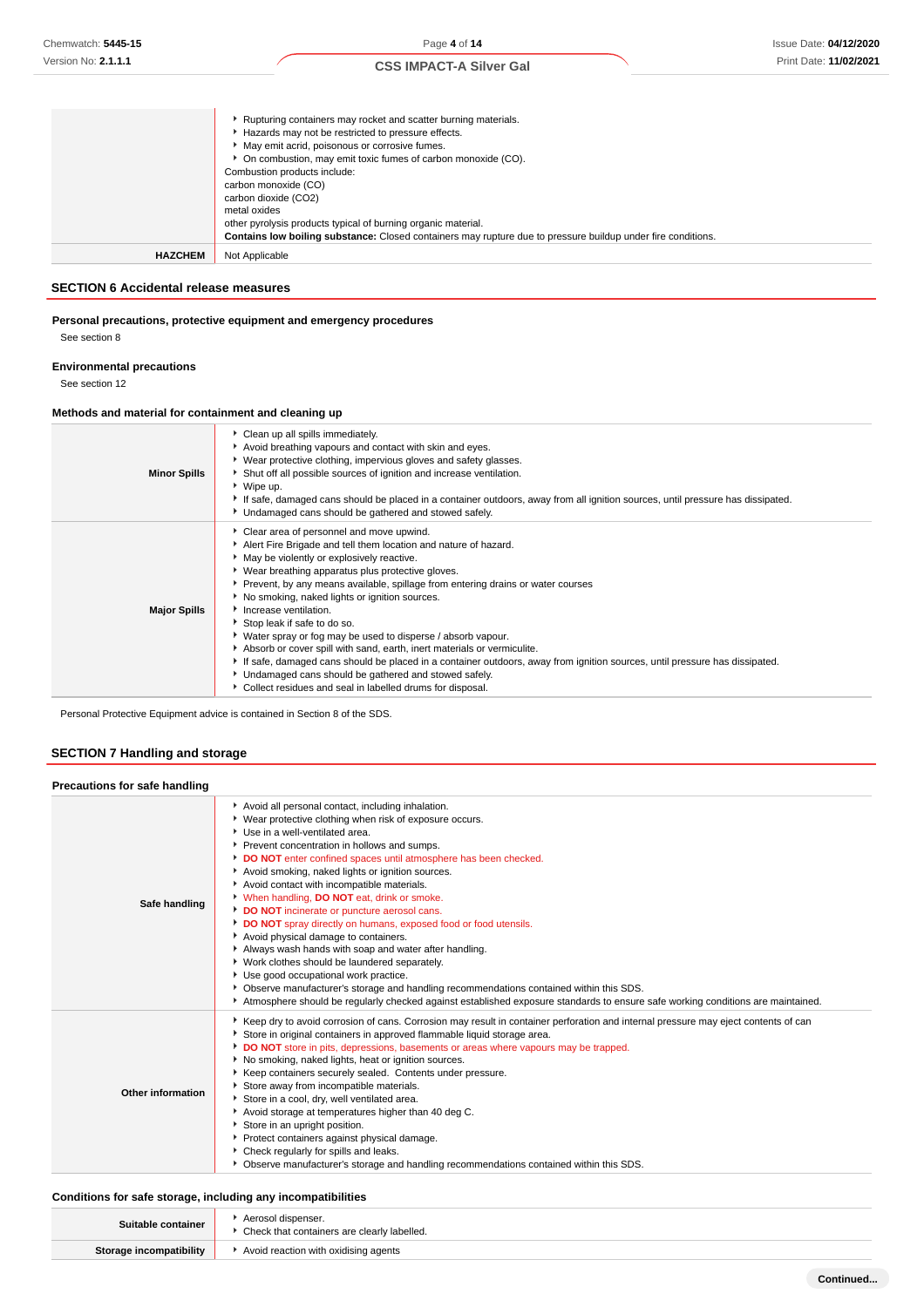|                | Rupturing containers may rocket and scatter burning materials.<br>Hazards may not be restricted to pressure effects.<br>• May emit acrid, poisonous or corrosive fumes.<br>• On combustion, may emit toxic fumes of carbon monoxide (CO).<br>Combustion products include:<br>carbon monoxide (CO)<br>carbon dioxide (CO2)<br>metal oxides<br>other pyrolysis products typical of burning organic material. |
|----------------|------------------------------------------------------------------------------------------------------------------------------------------------------------------------------------------------------------------------------------------------------------------------------------------------------------------------------------------------------------------------------------------------------------|
|                | <b>Contains low boiling substance:</b> Closed containers may rupture due to pressure buildup under fire conditions.                                                                                                                                                                                                                                                                                        |
| <b>HAZCHEM</b> | Not Applicable                                                                                                                                                                                                                                                                                                                                                                                             |

#### **SECTION 6 Accidental release measures**

# **Personal precautions, protective equipment and emergency procedures**

See section 8

# **Environmental precautions**

See section 12

#### **Methods and material for containment and cleaning up**

| <b>Minor Spills</b> | Clean up all spills immediately.<br>Avoid breathing vapours and contact with skin and eyes.<br>• Wear protective clothing, impervious gloves and safety glasses.<br>Shut off all possible sources of ignition and increase ventilation.<br>▶ Wipe up.<br>If safe, damaged cans should be placed in a container outdoors, away from all ignition sources, until pressure has dissipated.<br>• Undamaged cans should be gathered and stowed safely.                                                                                                                                                                                                                                                                                                                                                               |
|---------------------|-----------------------------------------------------------------------------------------------------------------------------------------------------------------------------------------------------------------------------------------------------------------------------------------------------------------------------------------------------------------------------------------------------------------------------------------------------------------------------------------------------------------------------------------------------------------------------------------------------------------------------------------------------------------------------------------------------------------------------------------------------------------------------------------------------------------|
| <b>Major Spills</b> | Clear area of personnel and move upwind.<br>Alert Fire Brigade and tell them location and nature of hazard.<br>• May be violently or explosively reactive.<br>▶ Wear breathing apparatus plus protective gloves.<br>► Prevent, by any means available, spillage from entering drains or water courses<br>No smoking, naked lights or ignition sources.<br>Increase ventilation.<br>Stop leak if safe to do so.<br>• Water spray or fog may be used to disperse / absorb vapour.<br>Absorb or cover spill with sand, earth, inert materials or vermiculite.<br>If safe, damaged cans should be placed in a container outdoors, away from ignition sources, until pressure has dissipated.<br>• Undamaged cans should be gathered and stowed safely.<br>Collect residues and seal in labelled drums for disposal. |

Personal Protective Equipment advice is contained in Section 8 of the SDS.

# **SECTION 7 Handling and storage**

| Precautions for safe handling |                                                                                                                                                                                                                                                                                                                                                                                                                                                                                                                                                                                                                                                                                                                                                                                                                                                                                                                                                                   |
|-------------------------------|-------------------------------------------------------------------------------------------------------------------------------------------------------------------------------------------------------------------------------------------------------------------------------------------------------------------------------------------------------------------------------------------------------------------------------------------------------------------------------------------------------------------------------------------------------------------------------------------------------------------------------------------------------------------------------------------------------------------------------------------------------------------------------------------------------------------------------------------------------------------------------------------------------------------------------------------------------------------|
| Safe handling                 | Avoid all personal contact, including inhalation.<br>▶ Wear protective clothing when risk of exposure occurs.<br>▶ Use in a well-ventilated area.<br>Prevent concentration in hollows and sumps.<br>DO NOT enter confined spaces until atmosphere has been checked.<br>Avoid smoking, naked lights or ignition sources.<br>Avoid contact with incompatible materials.<br>V When handling, DO NOT eat, drink or smoke.<br>DO NOT incinerate or puncture aerosol cans.<br>DO NOT spray directly on humans, exposed food or food utensils.<br>Avoid physical damage to containers.<br>Always wash hands with soap and water after handling.<br>▶ Work clothes should be laundered separately.<br>Use good occupational work practice.<br>▶ Observe manufacturer's storage and handling recommendations contained within this SDS.<br>Atmosphere should be regularly checked against established exposure standards to ensure safe working conditions are maintained. |
| Other information             | ▶ Keep dry to avoid corrosion of cans. Corrosion may result in container perforation and internal pressure may eject contents of can<br>Store in original containers in approved flammable liquid storage area.<br>DO NOT store in pits, depressions, basements or areas where vapours may be trapped.<br>No smoking, naked lights, heat or ignition sources.<br>Keep containers securely sealed. Contents under pressure.<br>Store away from incompatible materials.<br>Store in a cool, dry, well ventilated area.<br>Avoid storage at temperatures higher than 40 deg C.<br>Store in an upright position.<br>Protect containers against physical damage.<br>• Check regularly for spills and leaks.<br>▶ Observe manufacturer's storage and handling recommendations contained within this SDS.                                                                                                                                                                |

# **Conditions for safe storage, including any incompatibilities**

 $\overline{\phantom{a}}$ 

| Suitable container      | Aerosol dispenser.<br>Check that containers are clearly labelled. |  |
|-------------------------|-------------------------------------------------------------------|--|
| Storage incompatibility | Avoid reaction with oxidising agents                              |  |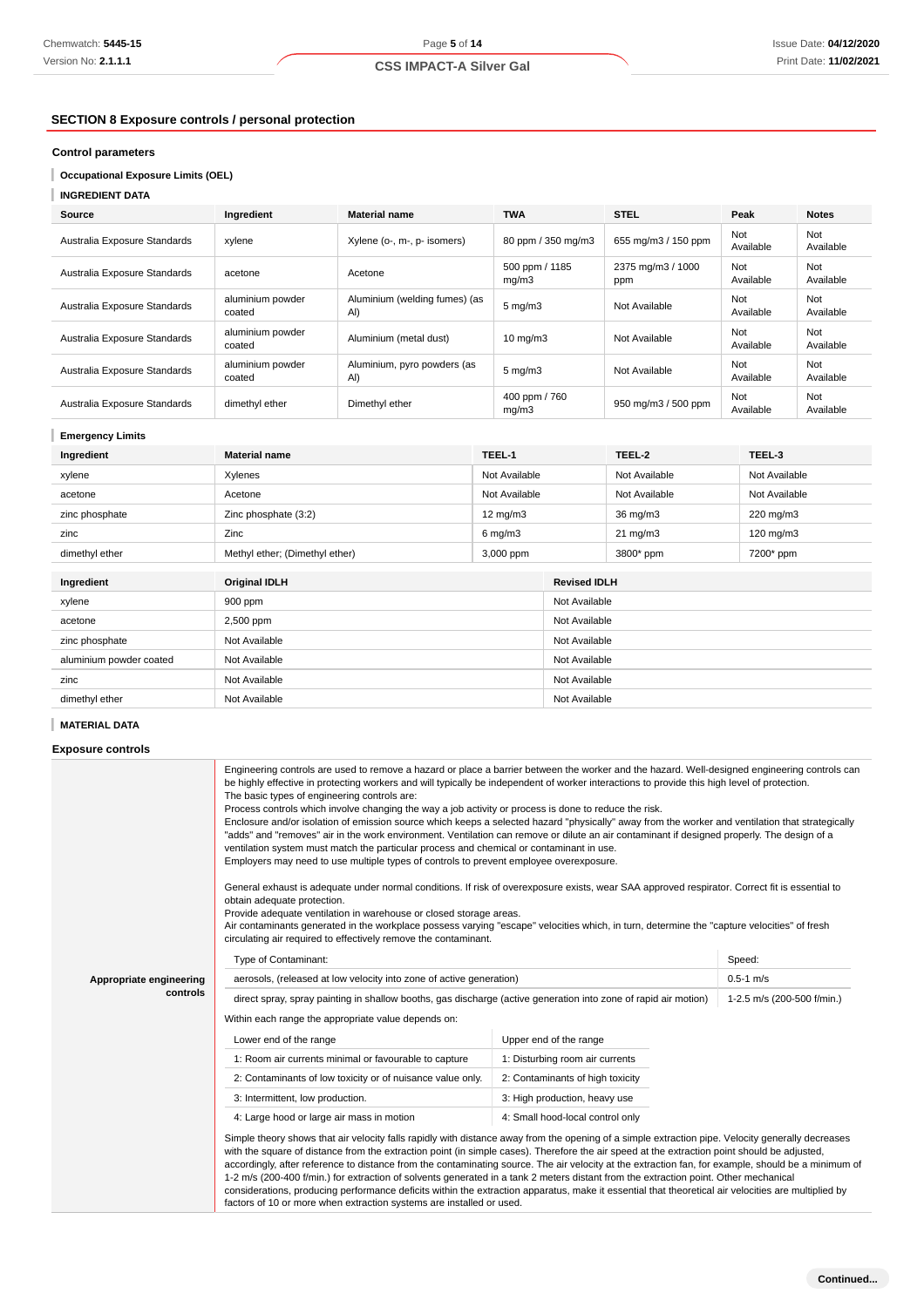# **SECTION 8 Exposure controls / personal protection**

# **Control parameters**

# **INGREDIENT DATA**

| Source                       | Ingredient                 | <b>Material name</b>                 | <b>TWA</b>               | <b>STEL</b>              | Peak             | <b>Notes</b>     |
|------------------------------|----------------------------|--------------------------------------|--------------------------|--------------------------|------------------|------------------|
| Australia Exposure Standards | xylene                     | Xylene (o-, m-, p- isomers)          | 80 ppm / 350 mg/m3       | 655 mg/m3 / 150 ppm      | Not<br>Available | Not<br>Available |
| Australia Exposure Standards | acetone                    | Acetone                              | 500 ppm / 1185<br>mq/m3  | 2375 mg/m3 / 1000<br>ppm | Not<br>Available | Not<br>Available |
| Australia Exposure Standards | aluminium powder<br>coated | Aluminium (welding fumes) (as<br>AI) | $5 \text{ mg/m}$         | Not Available            | Not<br>Available | Not<br>Available |
| Australia Exposure Standards | aluminium powder<br>coated | Aluminium (metal dust)               | $10 \text{ mg}/\text{m}$ | Not Available            | Not<br>Available | Not<br>Available |
| Australia Exposure Standards | aluminium powder<br>coated | Aluminium, pyro powders (as<br>AI)   | $5 \text{ mg/m}$         | Not Available            | Not<br>Available | Not<br>Available |
| Australia Exposure Standards | dimethyl ether             | Dimethyl ether                       | 400 ppm / 760<br>mq/m3   | 950 mg/m3 / 500 ppm      | Not<br>Available | Not<br>Available |

#### **Emergency Limits**

| Ingredient              | TEEL-1<br><b>Material name</b> |                   |               | TEEL-2              | TEEL-3        |  |
|-------------------------|--------------------------------|-------------------|---------------|---------------------|---------------|--|
| xylene                  | Xylenes                        | Not Available     |               | Not Available       | Not Available |  |
| acetone                 | Acetone                        | Not Available     |               | Not Available       | Not Available |  |
| zinc phosphate          | Zinc phosphate (3:2)           | $12 \text{ mg/m}$ |               | 36 mg/m3            | 220 mg/m3     |  |
| zinc                    | Zinc                           | $6$ mg/m $3$      |               | $21 \text{ mg/m}$   | 120 mg/m3     |  |
| dimethyl ether          | Methyl ether; (Dimethyl ether) | 3,000 ppm         |               | 3800* ppm           | 7200* ppm     |  |
|                         |                                |                   |               |                     |               |  |
| Ingredient              | <b>Original IDLH</b>           |                   |               | <b>Revised IDLH</b> |               |  |
| xylene                  | 900 ppm                        |                   |               | Not Available       |               |  |
| acetone                 | 2,500 ppm                      |                   | Not Available |                     |               |  |
| zinc phosphate          | Not Available                  |                   | Not Available |                     |               |  |
| aluminium powder coated | Not Available                  |                   | Not Available |                     |               |  |
| zinc                    | Not Available                  |                   | Not Available |                     |               |  |
| dimethyl ether          | Not Available                  |                   | Not Available |                     |               |  |

# **MATERIAL DATA**

# **Exposure controls**

| Chemwatch: 5445-15                                       |                                                                                                                                                                        | Page 5 of 14                                                                                                                                                                                                                                                                                                                                                                                                                                                                                                                                                                                                                                                                                                                                                                                                                                                                                                                                                                                                                                                                                                                                                                                                                                                                                                                              |                         |                                  |                            |                  | <b>Issue Date: 04/12/2</b> |
|----------------------------------------------------------|------------------------------------------------------------------------------------------------------------------------------------------------------------------------|-------------------------------------------------------------------------------------------------------------------------------------------------------------------------------------------------------------------------------------------------------------------------------------------------------------------------------------------------------------------------------------------------------------------------------------------------------------------------------------------------------------------------------------------------------------------------------------------------------------------------------------------------------------------------------------------------------------------------------------------------------------------------------------------------------------------------------------------------------------------------------------------------------------------------------------------------------------------------------------------------------------------------------------------------------------------------------------------------------------------------------------------------------------------------------------------------------------------------------------------------------------------------------------------------------------------------------------------|-------------------------|----------------------------------|----------------------------|------------------|----------------------------|
| Version No: <b>2.1.1.1</b>                               |                                                                                                                                                                        | <b>CSS IMPACT-A Silver Gal</b>                                                                                                                                                                                                                                                                                                                                                                                                                                                                                                                                                                                                                                                                                                                                                                                                                                                                                                                                                                                                                                                                                                                                                                                                                                                                                                            |                         |                                  |                            |                  | Print Date: 11/02/2        |
| <b>SECTION 8 Exposure controls / personal protection</b> |                                                                                                                                                                        |                                                                                                                                                                                                                                                                                                                                                                                                                                                                                                                                                                                                                                                                                                                                                                                                                                                                                                                                                                                                                                                                                                                                                                                                                                                                                                                                           |                         |                                  |                            |                  |                            |
| <b>Control parameters</b>                                |                                                                                                                                                                        |                                                                                                                                                                                                                                                                                                                                                                                                                                                                                                                                                                                                                                                                                                                                                                                                                                                                                                                                                                                                                                                                                                                                                                                                                                                                                                                                           |                         |                                  |                            |                  |                            |
| <b>Occupational Exposure Limits (OEL)</b>                |                                                                                                                                                                        |                                                                                                                                                                                                                                                                                                                                                                                                                                                                                                                                                                                                                                                                                                                                                                                                                                                                                                                                                                                                                                                                                                                                                                                                                                                                                                                                           |                         |                                  |                            |                  |                            |
| <b>INGREDIENT DATA</b>                                   |                                                                                                                                                                        |                                                                                                                                                                                                                                                                                                                                                                                                                                                                                                                                                                                                                                                                                                                                                                                                                                                                                                                                                                                                                                                                                                                                                                                                                                                                                                                                           |                         |                                  |                            |                  |                            |
| Source                                                   | Ingredient                                                                                                                                                             | <b>Material name</b>                                                                                                                                                                                                                                                                                                                                                                                                                                                                                                                                                                                                                                                                                                                                                                                                                                                                                                                                                                                                                                                                                                                                                                                                                                                                                                                      | <b>TWA</b>              |                                  | STEL                       | Peak             | <b>Notes</b>               |
|                                                          |                                                                                                                                                                        |                                                                                                                                                                                                                                                                                                                                                                                                                                                                                                                                                                                                                                                                                                                                                                                                                                                                                                                                                                                                                                                                                                                                                                                                                                                                                                                                           |                         |                                  |                            | Not              | Not                        |
| Australia Exposure Standards                             | xylene                                                                                                                                                                 | Xylene (o-, m-, p- isomers)                                                                                                                                                                                                                                                                                                                                                                                                                                                                                                                                                                                                                                                                                                                                                                                                                                                                                                                                                                                                                                                                                                                                                                                                                                                                                                               |                         | 80 ppm / 350 mg/m3               | 655 mg/m3 / 150 ppm        | Available        | Available                  |
| Australia Exposure Standards                             | acetone                                                                                                                                                                | Acetone                                                                                                                                                                                                                                                                                                                                                                                                                                                                                                                                                                                                                                                                                                                                                                                                                                                                                                                                                                                                                                                                                                                                                                                                                                                                                                                                   | 500 ppm / 1185<br>mg/m3 |                                  | 2375 mg/m3 / 1000<br>ppm   | Not<br>Available | Not<br>Available           |
| Australia Exposure Standards                             | aluminium powder<br>coated                                                                                                                                             | Aluminium (welding fumes) (as<br>AI)                                                                                                                                                                                                                                                                                                                                                                                                                                                                                                                                                                                                                                                                                                                                                                                                                                                                                                                                                                                                                                                                                                                                                                                                                                                                                                      | $5 \text{ mg/m}$        |                                  | Not Available              | Not<br>Available | Not<br>Available           |
| Australia Exposure Standards                             | aluminium powder<br>coated                                                                                                                                             | Aluminium (metal dust)                                                                                                                                                                                                                                                                                                                                                                                                                                                                                                                                                                                                                                                                                                                                                                                                                                                                                                                                                                                                                                                                                                                                                                                                                                                                                                                    | 10 mg/m3                |                                  | Not Available              | Not<br>Available | Not<br>Available           |
| Australia Exposure Standards                             | aluminium powder<br>coated                                                                                                                                             | Aluminium, pyro powders (as<br>Al)                                                                                                                                                                                                                                                                                                                                                                                                                                                                                                                                                                                                                                                                                                                                                                                                                                                                                                                                                                                                                                                                                                                                                                                                                                                                                                        | $5$ mg/m $3$            |                                  | Not Available              | Not<br>Available | Not<br>Available           |
| Australia Exposure Standards                             | dimethyl ether                                                                                                                                                         | Dimethyl ether                                                                                                                                                                                                                                                                                                                                                                                                                                                                                                                                                                                                                                                                                                                                                                                                                                                                                                                                                                                                                                                                                                                                                                                                                                                                                                                            | 400 ppm / 760<br>mg/m3  |                                  | 950 mg/m3 / 500 ppm        | Not<br>Available | Not<br>Available           |
| <b>Emergency Limits</b>                                  |                                                                                                                                                                        |                                                                                                                                                                                                                                                                                                                                                                                                                                                                                                                                                                                                                                                                                                                                                                                                                                                                                                                                                                                                                                                                                                                                                                                                                                                                                                                                           |                         |                                  |                            |                  |                            |
| Ingredient                                               | <b>Material name</b>                                                                                                                                                   |                                                                                                                                                                                                                                                                                                                                                                                                                                                                                                                                                                                                                                                                                                                                                                                                                                                                                                                                                                                                                                                                                                                                                                                                                                                                                                                                           | TEEL-1                  |                                  | TEEL-2                     | TEEL-3           |                            |
| xylene                                                   | Xylenes                                                                                                                                                                |                                                                                                                                                                                                                                                                                                                                                                                                                                                                                                                                                                                                                                                                                                                                                                                                                                                                                                                                                                                                                                                                                                                                                                                                                                                                                                                                           | Not Available           |                                  | Not Available              | Not Available    |                            |
| acetone                                                  | Acetone                                                                                                                                                                |                                                                                                                                                                                                                                                                                                                                                                                                                                                                                                                                                                                                                                                                                                                                                                                                                                                                                                                                                                                                                                                                                                                                                                                                                                                                                                                                           | Not Available           |                                  | Not Available              | Not Available    |                            |
| zinc phosphate                                           | Zinc phosphate (3:2)                                                                                                                                                   |                                                                                                                                                                                                                                                                                                                                                                                                                                                                                                                                                                                                                                                                                                                                                                                                                                                                                                                                                                                                                                                                                                                                                                                                                                                                                                                                           | 12 mg/m3                |                                  | 36 mg/m3                   | 220 mg/m3        |                            |
| zinc                                                     | Zinc                                                                                                                                                                   |                                                                                                                                                                                                                                                                                                                                                                                                                                                                                                                                                                                                                                                                                                                                                                                                                                                                                                                                                                                                                                                                                                                                                                                                                                                                                                                                           | $6$ mg/m $3$            |                                  | $21 \text{ mg/m}$          | 120 mg/m3        |                            |
| dimethyl ether                                           | Methyl ether; (Dimethyl ether)                                                                                                                                         |                                                                                                                                                                                                                                                                                                                                                                                                                                                                                                                                                                                                                                                                                                                                                                                                                                                                                                                                                                                                                                                                                                                                                                                                                                                                                                                                           | 3,000 ppm               |                                  | 3800* ppm                  | 7200* ppm        |                            |
|                                                          |                                                                                                                                                                        |                                                                                                                                                                                                                                                                                                                                                                                                                                                                                                                                                                                                                                                                                                                                                                                                                                                                                                                                                                                                                                                                                                                                                                                                                                                                                                                                           |                         |                                  |                            |                  |                            |
| Ingredient                                               | Original IDLH                                                                                                                                                          |                                                                                                                                                                                                                                                                                                                                                                                                                                                                                                                                                                                                                                                                                                                                                                                                                                                                                                                                                                                                                                                                                                                                                                                                                                                                                                                                           |                         | <b>Revised IDLH</b>              |                            |                  |                            |
| xylene                                                   | 900 ppm                                                                                                                                                                |                                                                                                                                                                                                                                                                                                                                                                                                                                                                                                                                                                                                                                                                                                                                                                                                                                                                                                                                                                                                                                                                                                                                                                                                                                                                                                                                           |                         | Not Available                    |                            |                  |                            |
| acetone                                                  | 2,500 ppm                                                                                                                                                              |                                                                                                                                                                                                                                                                                                                                                                                                                                                                                                                                                                                                                                                                                                                                                                                                                                                                                                                                                                                                                                                                                                                                                                                                                                                                                                                                           |                         | Not Available                    |                            |                  |                            |
| zinc phosphate                                           | Not Available                                                                                                                                                          |                                                                                                                                                                                                                                                                                                                                                                                                                                                                                                                                                                                                                                                                                                                                                                                                                                                                                                                                                                                                                                                                                                                                                                                                                                                                                                                                           |                         | Not Available                    |                            |                  |                            |
| aluminium powder coated                                  | Not Available                                                                                                                                                          |                                                                                                                                                                                                                                                                                                                                                                                                                                                                                                                                                                                                                                                                                                                                                                                                                                                                                                                                                                                                                                                                                                                                                                                                                                                                                                                                           |                         | Not Available                    |                            |                  |                            |
| zinc                                                     | Not Available                                                                                                                                                          |                                                                                                                                                                                                                                                                                                                                                                                                                                                                                                                                                                                                                                                                                                                                                                                                                                                                                                                                                                                                                                                                                                                                                                                                                                                                                                                                           |                         | Not Available                    |                            |                  |                            |
| dimethyl ether                                           | Not Available                                                                                                                                                          |                                                                                                                                                                                                                                                                                                                                                                                                                                                                                                                                                                                                                                                                                                                                                                                                                                                                                                                                                                                                                                                                                                                                                                                                                                                                                                                                           |                         | Not Available                    |                            |                  |                            |
| <b>MATERIAL DATA</b>                                     |                                                                                                                                                                        |                                                                                                                                                                                                                                                                                                                                                                                                                                                                                                                                                                                                                                                                                                                                                                                                                                                                                                                                                                                                                                                                                                                                                                                                                                                                                                                                           |                         |                                  |                            |                  |                            |
| <b>Exposure controls</b>                                 |                                                                                                                                                                        |                                                                                                                                                                                                                                                                                                                                                                                                                                                                                                                                                                                                                                                                                                                                                                                                                                                                                                                                                                                                                                                                                                                                                                                                                                                                                                                                           |                         |                                  |                            |                  |                            |
|                                                          | The basic types of engineering controls are:<br>obtain adequate protection.                                                                                            | Engineering controls are used to remove a hazard or place a barrier between the worker and the hazard. Well-designed engineering controls can<br>be highly effective in protecting workers and will typically be independent of worker interactions to provide this high level of protection.<br>Process controls which involve changing the way a job activity or process is done to reduce the risk.<br>Enclosure and/or isolation of emission source which keeps a selected hazard "physically" away from the worker and ventilation that strategically<br>"adds" and "removes" air in the work environment. Ventilation can remove or dilute an air contaminant if designed properly. The design of a<br>ventilation system must match the particular process and chemical or contaminant in use.<br>Employers may need to use multiple types of controls to prevent employee overexposure.<br>General exhaust is adequate under normal conditions. If risk of overexposure exists, wear SAA approved respirator. Correct fit is essential to<br>Provide adequate ventilation in warehouse or closed storage areas.<br>Air contaminants generated in the workplace possess varying "escape" velocities which, in turn, determine the "capture velocities" of fresh<br>circulating air required to effectively remove the contaminant. |                         |                                  |                            |                  |                            |
|                                                          | Type of Contaminant:                                                                                                                                                   |                                                                                                                                                                                                                                                                                                                                                                                                                                                                                                                                                                                                                                                                                                                                                                                                                                                                                                                                                                                                                                                                                                                                                                                                                                                                                                                                           |                         |                                  |                            | Speed:           |                            |
| Appropriate engineering                                  | aerosols, (released at low velocity into zone of active generation)                                                                                                    |                                                                                                                                                                                                                                                                                                                                                                                                                                                                                                                                                                                                                                                                                                                                                                                                                                                                                                                                                                                                                                                                                                                                                                                                                                                                                                                                           | $0.5 - 1$ m/s           |                                  |                            |                  |                            |
| controls                                                 | direct spray, spray painting in shallow booths, gas discharge (active generation into zone of rapid air motion)<br>Within each range the appropriate value depends on: |                                                                                                                                                                                                                                                                                                                                                                                                                                                                                                                                                                                                                                                                                                                                                                                                                                                                                                                                                                                                                                                                                                                                                                                                                                                                                                                                           |                         |                                  | 1-2.5 m/s (200-500 f/min.) |                  |                            |
|                                                          | Upper end of the range<br>Lower end of the range                                                                                                                       |                                                                                                                                                                                                                                                                                                                                                                                                                                                                                                                                                                                                                                                                                                                                                                                                                                                                                                                                                                                                                                                                                                                                                                                                                                                                                                                                           |                         |                                  |                            |                  |                            |
|                                                          | 1: Room air currents minimal or favourable to capture<br>1: Disturbing room air currents                                                                               |                                                                                                                                                                                                                                                                                                                                                                                                                                                                                                                                                                                                                                                                                                                                                                                                                                                                                                                                                                                                                                                                                                                                                                                                                                                                                                                                           |                         |                                  |                            |                  |                            |
|                                                          | 2: Contaminants of low toxicity or of nuisance value only.<br>2: Contaminants of high toxicity                                                                         |                                                                                                                                                                                                                                                                                                                                                                                                                                                                                                                                                                                                                                                                                                                                                                                                                                                                                                                                                                                                                                                                                                                                                                                                                                                                                                                                           |                         |                                  |                            |                  |                            |
|                                                          | 3: Intermittent, low production.<br>3: High production, heavy use                                                                                                      |                                                                                                                                                                                                                                                                                                                                                                                                                                                                                                                                                                                                                                                                                                                                                                                                                                                                                                                                                                                                                                                                                                                                                                                                                                                                                                                                           |                         |                                  |                            |                  |                            |
|                                                          | 4: Large hood or large air mass in motion                                                                                                                              |                                                                                                                                                                                                                                                                                                                                                                                                                                                                                                                                                                                                                                                                                                                                                                                                                                                                                                                                                                                                                                                                                                                                                                                                                                                                                                                                           |                         | 4: Small hood-local control only |                            |                  |                            |
|                                                          |                                                                                                                                                                        | Simple theory shows that air velocity falls rapidly with distance away from the opening of a simple extraction pipe. Velocity generally decreases<br>with the square of distance from the extraction point (in simple cases). Therefore the air speed at the extraction point should be adjusted,<br>accordingly, after reference to distance from the contaminating source. The air velocity at the extraction fan, for example, should be a minimum of<br>1-2 m/s (200-400 f/min.) for extraction of solvents generated in a tank 2 meters distant from the extraction point. Other mechanical<br>considerations, producing performance deficits within the extraction apparatus, make it essential that theoretical air velocities are multiplied by<br>factors of 10 or more when extraction systems are installed or used.                                                                                                                                                                                                                                                                                                                                                                                                                                                                                                           |                         |                                  |                            |                  |                            |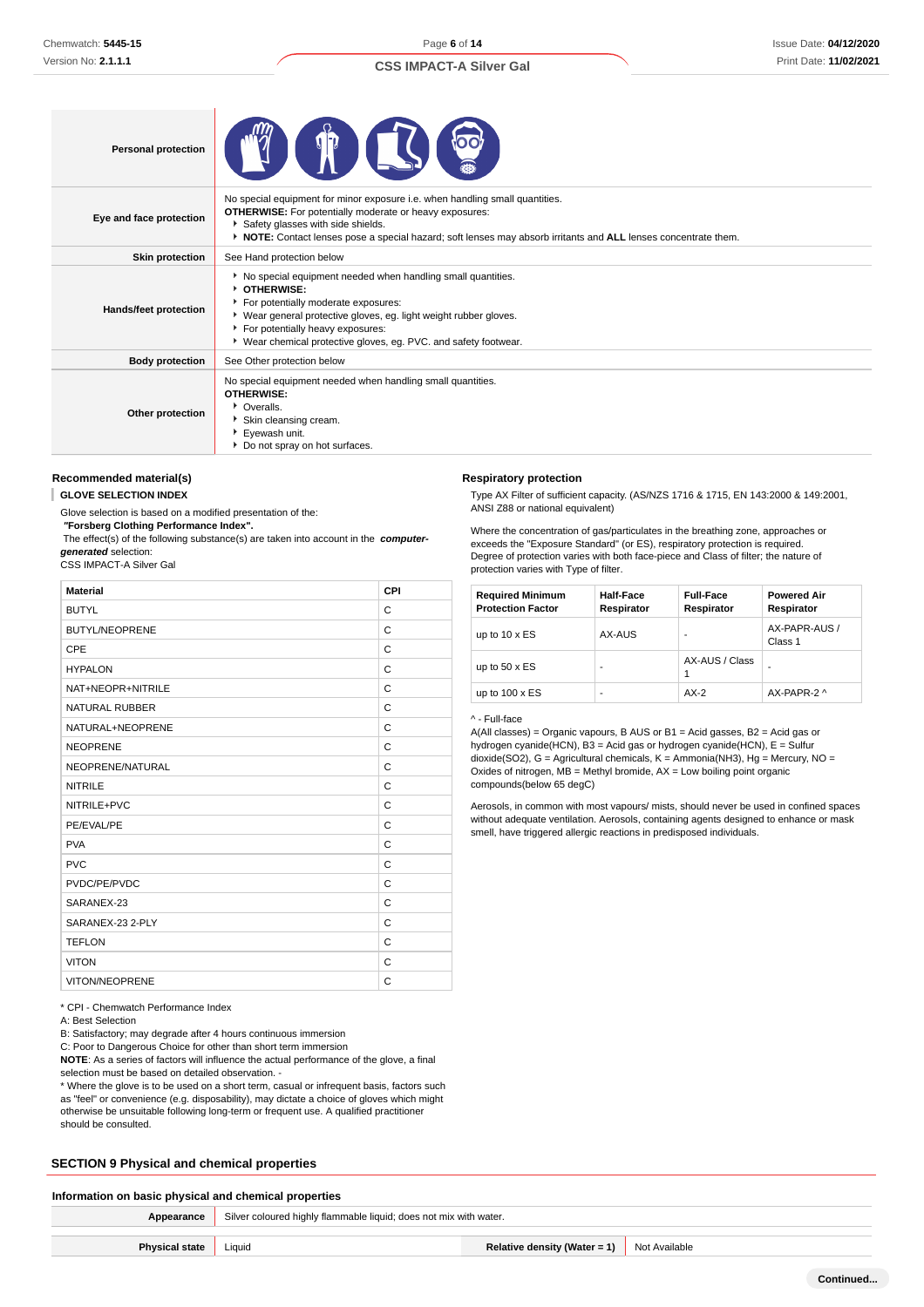Page **6** of **14**

# **CSS IMPACT-A Silver Gal**

| <b>Personal protection</b> |                                                                                                                                                                                                                                                                                                        |
|----------------------------|--------------------------------------------------------------------------------------------------------------------------------------------------------------------------------------------------------------------------------------------------------------------------------------------------------|
| Eye and face protection    | No special equipment for minor exposure i.e. when handling small quantities.<br><b>OTHERWISE:</b> For potentially moderate or heavy exposures:<br>Safety glasses with side shields.<br>▶ NOTE: Contact lenses pose a special hazard; soft lenses may absorb irritants and ALL lenses concentrate them. |
| <b>Skin protection</b>     | See Hand protection below                                                                                                                                                                                                                                                                              |
| Hands/feet protection      | No special equipment needed when handling small quantities.<br><b>DIHERWISE:</b><br>For potentially moderate exposures:<br>▶ Wear general protective gloves, eg. light weight rubber gloves.<br>For potentially heavy exposures:<br>▶ Wear chemical protective gloves, eg. PVC. and safety footwear.   |
| <b>Body protection</b>     | See Other protection below                                                                                                                                                                                                                                                                             |
| Other protection           | No special equipment needed when handling small quantities.<br><b>OTHERWISE:</b><br>• Overalls.<br>Skin cleansing cream.<br>▶ Eyewash unit.<br>Do not spray on hot surfaces.                                                                                                                           |

#### **Recommended material(s)**

**GLOVE SELECTION INDEX**

Glove selection is based on a modified presentation of the:

 **"Forsberg Clothing Performance Index".**

 The effect(s) of the following substance(s) are taken into account in the **computergenerated** selection:

CSS IMPACT-A Silver Gal

| <b>Material</b>       | CPI |
|-----------------------|-----|
| <b>BUTYL</b>          | C   |
| <b>BUTYL/NEOPRENE</b> | C   |
| <b>CPE</b>            | C   |
| <b>HYPALON</b>        | C   |
| NAT+NEOPR+NITRILE     | C   |
| <b>NATURAL RUBBER</b> | C   |
| NATURAL+NEOPRENE      | C   |
| <b>NEOPRENE</b>       | C   |
| NEOPRENE/NATURAL      | C   |
| <b>NITRILE</b>        | C   |
| NITRILE+PVC           | C   |
| PE/EVAL/PE            | C   |
| <b>PVA</b>            | C   |
| <b>PVC</b>            | C   |
| PVDC/PE/PVDC          | C   |
| SARANEX-23            | C   |
| SARANEX-23 2-PLY      | C   |
| <b>TEFLON</b>         | C   |
| <b>VITON</b>          | C   |
| VITON/NEOPRENE        | C   |

Type AX Filter of sufficient capacity. (AS/NZS 1716 & 1715, EN 143:2000 & 149:2001, ANSI Z88 or national equivalent)

Where the concentration of gas/particulates in the breathing zone, approaches or exceeds the "Exposure Standard" (or ES), respiratory protection is required. Degree of protection varies with both face-piece and Class of filter; the nature of protection varies with Type of filter.

| <b>Required Minimum</b><br><b>Protection Factor</b> | Half-Face<br>Respirator | <b>Full-Face</b><br>Respirator | <b>Powered Air</b><br>Respirator |
|-----------------------------------------------------|-------------------------|--------------------------------|----------------------------------|
| up to $10 \times ES$                                | AX-AUS                  |                                | AX-PAPR-AUS /<br>Class 1         |
| up to $50 \times ES$                                | ۰                       | AX-AUS / Class                 |                                  |
| up to $100 \times ES$                               | ۰                       | $AX-2$                         | AX-PAPR-2 ^                      |

#### ^ - Full-face

**Respiratory protection**

A(All classes) = Organic vapours, B AUS or B1 = Acid gasses, B2 = Acid gas or hydrogen cyanide(HCN), B3 = Acid gas or hydrogen cyanide(HCN), E = Sulfur dioxide(SO2), G = Agricultural chemicals, K = Ammonia(NH3), Hg = Mercury, NO = Oxides of nitrogen,  $MB =$  Methyl bromide,  $AX =$  Low boiling point organic compounds(below 65 degC)

Aerosols, in common with most vapours/ mists, should never be used in confined spaces without adequate ventilation. Aerosols, containing agents designed to enhance or mask smell, have triggered allergic reactions in predisposed individuals.

|  | * CPI - Chemwatch Performance Index |  |  |
|--|-------------------------------------|--|--|
|--|-------------------------------------|--|--|

A: Best Selection

B: Satisfactory; may degrade after 4 hours continuous immersion

C: Poor to Dangerous Choice for other than short term immersion

**NOTE**: As a series of factors will influence the actual performance of the glove, a final selection must be based on detailed observation. -

\* Where the glove is to be used on a short term, casual or infrequent basis, factors such as "feel" or convenience (e.g. disposability), may dictate a choice of gloves which might otherwise be unsuitable following long-term or frequent use. A qualified practitioner should be consulted.

#### **SECTION 9 Physical and chemical properties**

# **Information on basic physical and chemical properties**

**Appearance** Silver coloured highly flammable liquid; does not mix with water.

**Continued...**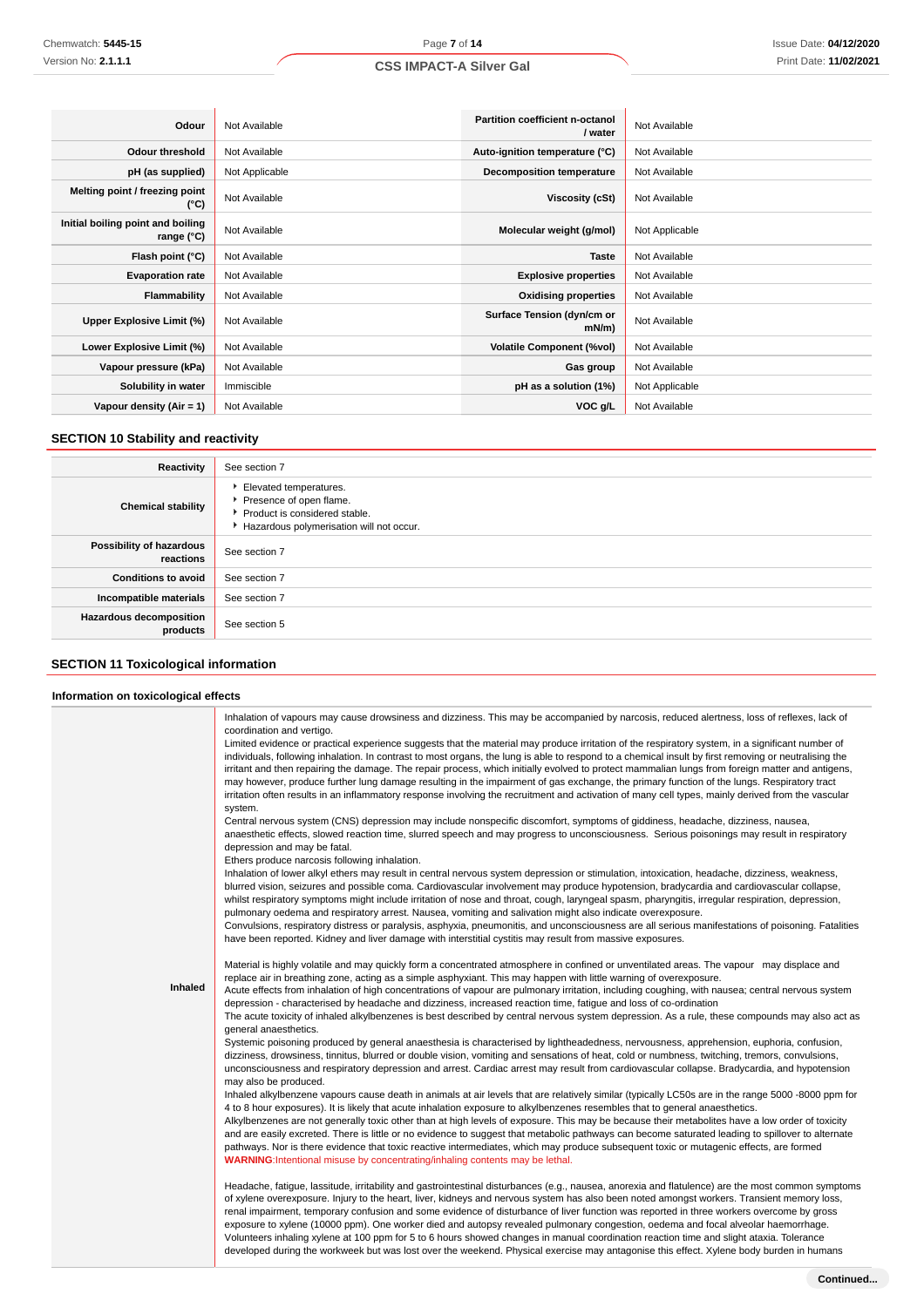| Odour                                           | Not Available  | Partition coefficient n-octanol<br>/ water | Not Available  |
|-------------------------------------------------|----------------|--------------------------------------------|----------------|
| <b>Odour threshold</b>                          | Not Available  | Auto-ignition temperature (°C)             | Not Available  |
| pH (as supplied)                                | Not Applicable | <b>Decomposition temperature</b>           | Not Available  |
| Melting point / freezing point<br>(°C)          | Not Available  | Viscosity (cSt)                            | Not Available  |
| Initial boiling point and boiling<br>range (°C) | Not Available  | Molecular weight (g/mol)                   | Not Applicable |
| Flash point (°C)                                | Not Available  | <b>Taste</b>                               | Not Available  |
| <b>Evaporation rate</b>                         | Not Available  | <b>Explosive properties</b>                | Not Available  |
| Flammability                                    | Not Available  | <b>Oxidising properties</b>                | Not Available  |
| Upper Explosive Limit (%)                       | Not Available  | Surface Tension (dyn/cm or<br>$mN/m$ )     | Not Available  |
| Lower Explosive Limit (%)                       | Not Available  | <b>Volatile Component (%vol)</b>           | Not Available  |
| Vapour pressure (kPa)                           | Not Available  | Gas group                                  | Not Available  |
| Solubility in water                             | Immiscible     | pH as a solution (1%)                      | Not Applicable |
| Vapour density $(Air = 1)$                      | Not Available  | VOC g/L                                    | Not Available  |

# **SECTION 10 Stability and reactivity**

| Reactivity                            | See section 7                                                                                                                    |
|---------------------------------------|----------------------------------------------------------------------------------------------------------------------------------|
| <b>Chemical stability</b>             | Elevated temperatures.<br>Presence of open flame.<br>▶ Product is considered stable.<br>Hazardous polymerisation will not occur. |
| Possibility of hazardous<br>reactions | See section 7                                                                                                                    |
| <b>Conditions to avoid</b>            | See section 7                                                                                                                    |
| Incompatible materials                | See section 7                                                                                                                    |
| Hazardous decomposition<br>products   | See section 5                                                                                                                    |

# **SECTION 11 Toxicological information**

#### **Information on toxicological effects**

|         | Inhalation of vapours may cause drowsiness and dizziness. This may be accompanied by narcosis, reduced alertness, loss of reflexes, lack of<br>coordination and vertigo.<br>Limited evidence or practical experience suggests that the material may produce irritation of the respiratory system, in a significant number of<br>individuals, following inhalation. In contrast to most organs, the lung is able to respond to a chemical insult by first removing or neutralising the<br>irritant and then repairing the damage. The repair process, which initially evolved to protect mammalian lungs from foreign matter and antigens,<br>may however, produce further lung damage resulting in the impairment of gas exchange, the primary function of the lungs. Respiratory tract<br>irritation often results in an inflammatory response involving the recruitment and activation of many cell types, mainly derived from the vascular<br>system.<br>Central nervous system (CNS) depression may include nonspecific discomfort, symptoms of giddiness, headache, dizziness, nausea,<br>anaesthetic effects, slowed reaction time, slurred speech and may progress to unconsciousness. Serious poisonings may result in respiratory<br>depression and may be fatal.<br>Ethers produce narcosis following inhalation. |
|---------|-----------------------------------------------------------------------------------------------------------------------------------------------------------------------------------------------------------------------------------------------------------------------------------------------------------------------------------------------------------------------------------------------------------------------------------------------------------------------------------------------------------------------------------------------------------------------------------------------------------------------------------------------------------------------------------------------------------------------------------------------------------------------------------------------------------------------------------------------------------------------------------------------------------------------------------------------------------------------------------------------------------------------------------------------------------------------------------------------------------------------------------------------------------------------------------------------------------------------------------------------------------------------------------------------------------------------------|
|         | Inhalation of lower alkyl ethers may result in central nervous system depression or stimulation, intoxication, headache, dizziness, weakness,<br>blurred vision, seizures and possible coma. Cardiovascular involvement may produce hypotension, bradycardia and cardiovascular collapse,<br>whilst respiratory symptoms might include irritation of nose and throat, cough, laryngeal spasm, pharyngitis, irregular respiration, depression,<br>pulmonary oedema and respiratory arrest. Nausea, vomiting and salivation might also indicate overexposure.<br>Convulsions, respiratory distress or paralysis, asphyxia, pneumonitis, and unconsciousness are all serious manifestations of poisoning. Fatalities<br>have been reported. Kidney and liver damage with interstitial cystitis may result from massive exposures.                                                                                                                                                                                                                                                                                                                                                                                                                                                                                              |
| Inhaled | Material is highly volatile and may quickly form a concentrated atmosphere in confined or unventilated areas. The vapour may displace and<br>replace air in breathing zone, acting as a simple asphyxiant. This may happen with little warning of overexposure.<br>Acute effects from inhalation of high concentrations of vapour are pulmonary irritation, including coughing, with nausea; central nervous system<br>depression - characterised by headache and dizziness, increased reaction time, fatique and loss of co-ordination<br>The acute toxicity of inhaled alkylbenzenes is best described by central nervous system depression. As a rule, these compounds may also act as<br>general anaesthetics.<br>Systemic poisoning produced by general anaesthesia is characterised by lightheadedness, nervousness, apprehension, euphoria, confusion,                                                                                                                                                                                                                                                                                                                                                                                                                                                               |
|         | dizziness, drowsiness, tinnitus, blurred or double vision, vomiting and sensations of heat, cold or numbness, twitching, tremors, convulsions,<br>unconsciousness and respiratory depression and arrest. Cardiac arrest may result from cardiovascular collapse. Bradycardia, and hypotension<br>may also be produced.<br>Inhaled alkylbenzene vapours cause death in animals at air levels that are relatively similar (typically LC50s are in the range 5000 -8000 ppm for<br>4 to 8 hour exposures). It is likely that acute inhalation exposure to alkylbenzenes resembles that to general anaesthetics.<br>Alkylbenzenes are not generally toxic other than at high levels of exposure. This may be because their metabolites have a low order of toxicity<br>and are easily excreted. There is little or no evidence to suggest that metabolic pathways can become saturated leading to spillover to alternate<br>pathways. Nor is there evidence that toxic reactive intermediates, which may produce subsequent toxic or mutagenic effects, are formed<br>WARNING:Intentional misuse by concentrating/inhaling contents may be lethal.                                                                                                                                                                              |
|         | Headache, fatigue, lassitude, irritability and gastrointestinal disturbances (e.g., nausea, anorexia and flatulence) are the most common symptoms<br>of xylene overexposure. Injury to the heart, liver, kidneys and nervous system has also been noted amongst workers. Transient memory loss,<br>renal impairment, temporary confusion and some evidence of disturbance of liver function was reported in three workers overcome by gross<br>exposure to xylene (10000 ppm). One worker died and autopsy revealed pulmonary congestion, oedema and focal alveolar haemorrhage.<br>Volunteers inhaling xylene at 100 ppm for 5 to 6 hours showed changes in manual coordination reaction time and slight ataxia. Tolerance<br>developed during the workweek but was lost over the weekend. Physical exercise may antagonise this effect. Xylene body burden in humans                                                                                                                                                                                                                                                                                                                                                                                                                                                      |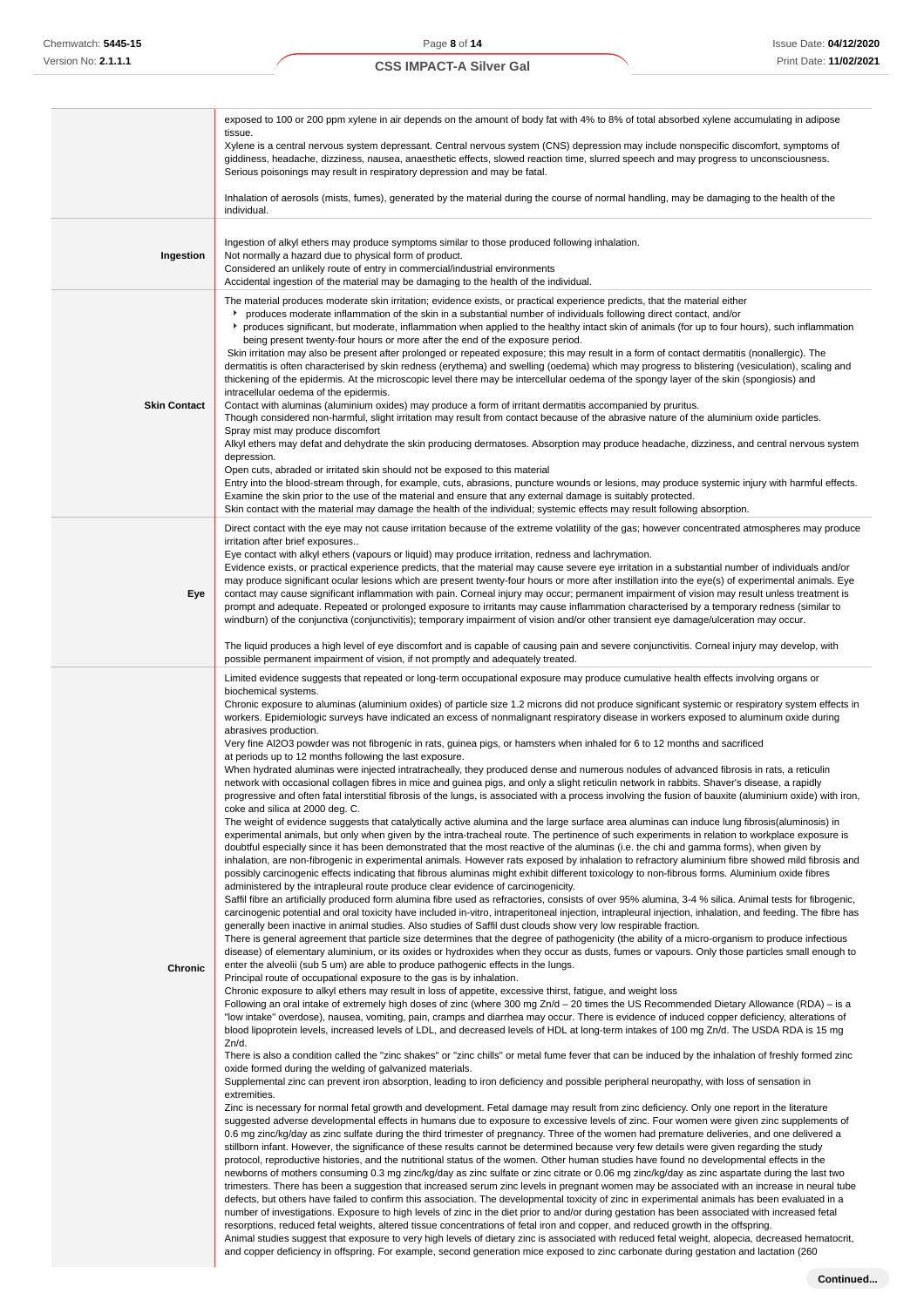|                     | exposed to 100 or 200 ppm xylene in air depends on the amount of body fat with 4% to 8% of total absorbed xylene accumulating in adipose<br>tissue.<br>Xylene is a central nervous system depressant. Central nervous system (CNS) depression may include nonspecific discomfort, symptoms of<br>giddiness, headache, dizziness, nausea, anaesthetic effects, slowed reaction time, slurred speech and may progress to unconsciousness.<br>Serious poisonings may result in respiratory depression and may be fatal.<br>Inhalation of aerosols (mists, fumes), generated by the material during the course of normal handling, may be damaging to the health of the<br>individual.                                                                                                                                                                                                                                                                                                                                                                                                                                                                                                                                                                                                                                                                                                                                                                                                                                                                                                                                                                                                                                                                                                                                                                                                                                                                                                                                                                                                                                                                                                                                                                                                                                                                                                                                                                                                                                                                                                                                                                                                                                                                                                                                                                                                                                                                                                                                                                                                                                                                                                                                                                                                                                                                                                                                                                                                                                                                                                                                                                                                                                                                                                                                                                                                                                                                                                                                                                                                                                                                                                                                                                                                                                                                                                                                                                                                                                                                                                                                                                                                                                                                                                                                                                                                                                                                                                                                                                                                                                                                                                                                                                                                                                                                                                                                                                                                                                           |
|---------------------|------------------------------------------------------------------------------------------------------------------------------------------------------------------------------------------------------------------------------------------------------------------------------------------------------------------------------------------------------------------------------------------------------------------------------------------------------------------------------------------------------------------------------------------------------------------------------------------------------------------------------------------------------------------------------------------------------------------------------------------------------------------------------------------------------------------------------------------------------------------------------------------------------------------------------------------------------------------------------------------------------------------------------------------------------------------------------------------------------------------------------------------------------------------------------------------------------------------------------------------------------------------------------------------------------------------------------------------------------------------------------------------------------------------------------------------------------------------------------------------------------------------------------------------------------------------------------------------------------------------------------------------------------------------------------------------------------------------------------------------------------------------------------------------------------------------------------------------------------------------------------------------------------------------------------------------------------------------------------------------------------------------------------------------------------------------------------------------------------------------------------------------------------------------------------------------------------------------------------------------------------------------------------------------------------------------------------------------------------------------------------------------------------------------------------------------------------------------------------------------------------------------------------------------------------------------------------------------------------------------------------------------------------------------------------------------------------------------------------------------------------------------------------------------------------------------------------------------------------------------------------------------------------------------------------------------------------------------------------------------------------------------------------------------------------------------------------------------------------------------------------------------------------------------------------------------------------------------------------------------------------------------------------------------------------------------------------------------------------------------------------------------------------------------------------------------------------------------------------------------------------------------------------------------------------------------------------------------------------------------------------------------------------------------------------------------------------------------------------------------------------------------------------------------------------------------------------------------------------------------------------------------------------------------------------------------------------------------------------------------------------------------------------------------------------------------------------------------------------------------------------------------------------------------------------------------------------------------------------------------------------------------------------------------------------------------------------------------------------------------------------------------------------------------------------------------------------------------------------------------------------------------------------------------------------------------------------------------------------------------------------------------------------------------------------------------------------------------------------------------------------------------------------------------------------------------------------------------------------------------------------------------------------------------------------------------------------------------------------------------------------------------------------------------------------------------------------------------------------------------------------------------------------------------------------------------------------------------------------------------------------------------------------------------------------------------------------------------------------------------------------------------------------------------------------------------------------------------------------------------------------------------------------|
| Ingestion           | Ingestion of alkyl ethers may produce symptoms similar to those produced following inhalation.<br>Not normally a hazard due to physical form of product.<br>Considered an unlikely route of entry in commercial/industrial environments<br>Accidental ingestion of the material may be damaging to the health of the individual.                                                                                                                                                                                                                                                                                                                                                                                                                                                                                                                                                                                                                                                                                                                                                                                                                                                                                                                                                                                                                                                                                                                                                                                                                                                                                                                                                                                                                                                                                                                                                                                                                                                                                                                                                                                                                                                                                                                                                                                                                                                                                                                                                                                                                                                                                                                                                                                                                                                                                                                                                                                                                                                                                                                                                                                                                                                                                                                                                                                                                                                                                                                                                                                                                                                                                                                                                                                                                                                                                                                                                                                                                                                                                                                                                                                                                                                                                                                                                                                                                                                                                                                                                                                                                                                                                                                                                                                                                                                                                                                                                                                                                                                                                                                                                                                                                                                                                                                                                                                                                                                                                                                                                                                             |
| <b>Skin Contact</b> | The material produces moderate skin irritation; evidence exists, or practical experience predicts, that the material either<br>roduces moderate inflammation of the skin in a substantial number of individuals following direct contact, and/or<br>reproduces significant, but moderate, inflammation when applied to the healthy intact skin of animals (for up to four hours), such inflammation<br>being present twenty-four hours or more after the end of the exposure period.<br>Skin irritation may also be present after prolonged or repeated exposure; this may result in a form of contact dermatitis (nonallergic). The<br>dermatitis is often characterised by skin redness (erythema) and swelling (oedema) which may progress to blistering (vesiculation), scaling and<br>thickening of the epidermis. At the microscopic level there may be intercellular oedema of the spongy layer of the skin (spongiosis) and<br>intracellular oedema of the epidermis.<br>Contact with aluminas (aluminium oxides) may produce a form of irritant dermatitis accompanied by pruritus.<br>Though considered non-harmful, slight irritation may result from contact because of the abrasive nature of the aluminium oxide particles.<br>Spray mist may produce discomfort<br>Alkyl ethers may defat and dehydrate the skin producing dermatoses. Absorption may produce headache, dizziness, and central nervous system<br>depression.<br>Open cuts, abraded or irritated skin should not be exposed to this material<br>Entry into the blood-stream through, for example, cuts, abrasions, puncture wounds or lesions, may produce systemic injury with harmful effects.<br>Examine the skin prior to the use of the material and ensure that any external damage is suitably protected.<br>Skin contact with the material may damage the health of the individual; systemic effects may result following absorption.                                                                                                                                                                                                                                                                                                                                                                                                                                                                                                                                                                                                                                                                                                                                                                                                                                                                                                                                                                                                                                                                                                                                                                                                                                                                                                                                                                                                                                                                                                                                                                                                                                                                                                                                                                                                                                                                                                                                                                                                                                                                                                                                                                                                                                                                                                                                                                                                                                                                                                                                                                                                                                                                                                                                                                                                                                                                                                                                                                                                                                                                                                                                                                                                                                                                                                                                                                                                                                                                                                                                                                                                  |
| Eye                 | Direct contact with the eye may not cause irritation because of the extreme volatility of the gas; however concentrated atmospheres may produce<br>irritation after brief exposures<br>Eye contact with alkyl ethers (vapours or liquid) may produce irritation, redness and lachrymation.<br>Evidence exists, or practical experience predicts, that the material may cause severe eye irritation in a substantial number of individuals and/or<br>may produce significant ocular lesions which are present twenty-four hours or more after instillation into the eye(s) of experimental animals. Eye<br>contact may cause significant inflammation with pain. Corneal injury may occur; permanent impairment of vision may result unless treatment is<br>prompt and adequate. Repeated or prolonged exposure to irritants may cause inflammation characterised by a temporary redness (similar to<br>windburn) of the conjunctiva (conjunctivitis); temporary impairment of vision and/or other transient eye damage/ulceration may occur.<br>The liquid produces a high level of eye discomfort and is capable of causing pain and severe conjunctivitis. Corneal injury may develop, with<br>possible permanent impairment of vision, if not promptly and adequately treated.                                                                                                                                                                                                                                                                                                                                                                                                                                                                                                                                                                                                                                                                                                                                                                                                                                                                                                                                                                                                                                                                                                                                                                                                                                                                                                                                                                                                                                                                                                                                                                                                                                                                                                                                                                                                                                                                                                                                                                                                                                                                                                                                                                                                                                                                                                                                                                                                                                                                                                                                                                                                                                                                                                                                                                                                                                                                                                                                                                                                                                                                                                                                                                                                                                                                                                                                                                                                                                                                                                                                                                                                                                                                                                                                                                                                                                                                                                                                                                                                                                                                                                                                                                                                                                            |
| Chronic             | Limited evidence suggests that repeated or long-term occupational exposure may produce cumulative health effects involving organs or<br>biochemical systems.<br>Chronic exposure to aluminas (aluminium oxides) of particle size 1.2 microns did not produce significant systemic or respiratory system effects in<br>workers. Epidemiologic surveys have indicated an excess of nonmalignant respiratory disease in workers exposed to aluminum oxide during<br>abrasives production.<br>Very fine Al2O3 powder was not fibrogenic in rats, guinea pigs, or hamsters when inhaled for 6 to 12 months and sacrificed<br>at periods up to 12 months following the last exposure.<br>When hydrated aluminas were injected intratracheally, they produced dense and numerous nodules of advanced fibrosis in rats, a reticulin<br>network with occasional collagen fibres in mice and guinea pigs, and only a slight reticulin network in rabbits. Shaver's disease, a rapidly<br>progressive and often fatal interstitial fibrosis of the lungs, is associated with a process involving the fusion of bauxite (aluminium oxide) with iron,<br>coke and silica at 2000 deg. C.<br>The weight of evidence suggests that catalytically active alumina and the large surface area aluminas can induce lung fibrosis(aluminosis) in<br>experimental animals, but only when given by the intra-tracheal route. The pertinence of such experiments in relation to workplace exposure is<br>doubtful especially since it has been demonstrated that the most reactive of the aluminas (i.e. the chi and gamma forms), when given by<br>inhalation, are non-fibrogenic in experimental animals. However rats exposed by inhalation to refractory aluminium fibre showed mild fibrosis and<br>possibly carcinogenic effects indicating that fibrous aluminas might exhibit different toxicology to non-fibrous forms. Aluminium oxide fibres<br>administered by the intrapleural route produce clear evidence of carcinogenicity.<br>Saffil fibre an artificially produced form alumina fibre used as refractories, consists of over 95% alumina, 3-4 % silica. Animal tests for fibrogenic,<br>carcinogenic potential and oral toxicity have included in-vitro, intraperitoneal injection, intrapleural injection, inhalation, and feeding. The fibre has<br>generally been inactive in animal studies. Also studies of Saffil dust clouds show very low respirable fraction.<br>There is general agreement that particle size determines that the degree of pathogenicity (the ability of a micro-organism to produce infectious<br>disease) of elementary aluminium, or its oxides or hydroxides when they occur as dusts, fumes or vapours. Only those particles small enough to<br>enter the alveolii (sub 5 um) are able to produce pathogenic effects in the lungs.<br>Principal route of occupational exposure to the gas is by inhalation.<br>Chronic exposure to alkyl ethers may result in loss of appetite, excessive thirst, fatigue, and weight loss<br>Following an oral intake of extremely high doses of zinc (where 300 mg Zn/d – 20 times the US Recommended Dietary Allowance (RDA) – is a<br>"low intake" overdose), nausea, vomiting, pain, cramps and diarrhea may occur. There is evidence of induced copper deficiency, alterations of<br>blood lipoprotein levels, increased levels of LDL, and decreased levels of HDL at long-term intakes of 100 mg Zn/d. The USDA RDA is 15 mg<br>Zn/d.<br>There is also a condition called the "zinc shakes" or "zinc chills" or metal fume fever that can be induced by the inhalation of freshly formed zinc<br>oxide formed during the welding of galvanized materials.<br>Supplemental zinc can prevent iron absorption, leading to iron deficiency and possible peripheral neuropathy, with loss of sensation in<br>extremities.<br>Zinc is necessary for normal fetal growth and development. Fetal damage may result from zinc deficiency. Only one report in the literature<br>suggested adverse developmental effects in humans due to exposure to excessive levels of zinc. Four women were given zinc supplements of<br>0.6 mg zinc/kg/day as zinc sulfate during the third trimester of pregnancy. Three of the women had premature deliveries, and one delivered a<br>stillborn infant. However, the significance of these results cannot be determined because very few details were given regarding the study<br>protocol, reproductive histories, and the nutritional status of the women. Other human studies have found no developmental effects in the<br>newborns of mothers consuming 0.3 mg zinc/kg/day as zinc sulfate or zinc citrate or 0.06 mg zinc/kg/day as zinc aspartate during the last two<br>trimesters. There has been a suggestion that increased serum zinc levels in pregnant women may be associated with an increase in neural tube<br>defects, but others have failed to confirm this association. The developmental toxicity of zinc in experimental animals has been evaluated in a<br>number of investigations. Exposure to high levels of zinc in the diet prior to and/or during gestation has been associated with increased fetal<br>resorptions, reduced fetal weights, altered tissue concentrations of fetal iron and copper, and reduced growth in the offspring.<br>Animal studies suggest that exposure to very high levels of dietary zinc is associated with reduced fetal weight, alopecia, decreased hematocrit, |

and copper deficiency in offspring. For example, second generation mice exposed to zinc carbonate during gestation and lactation (260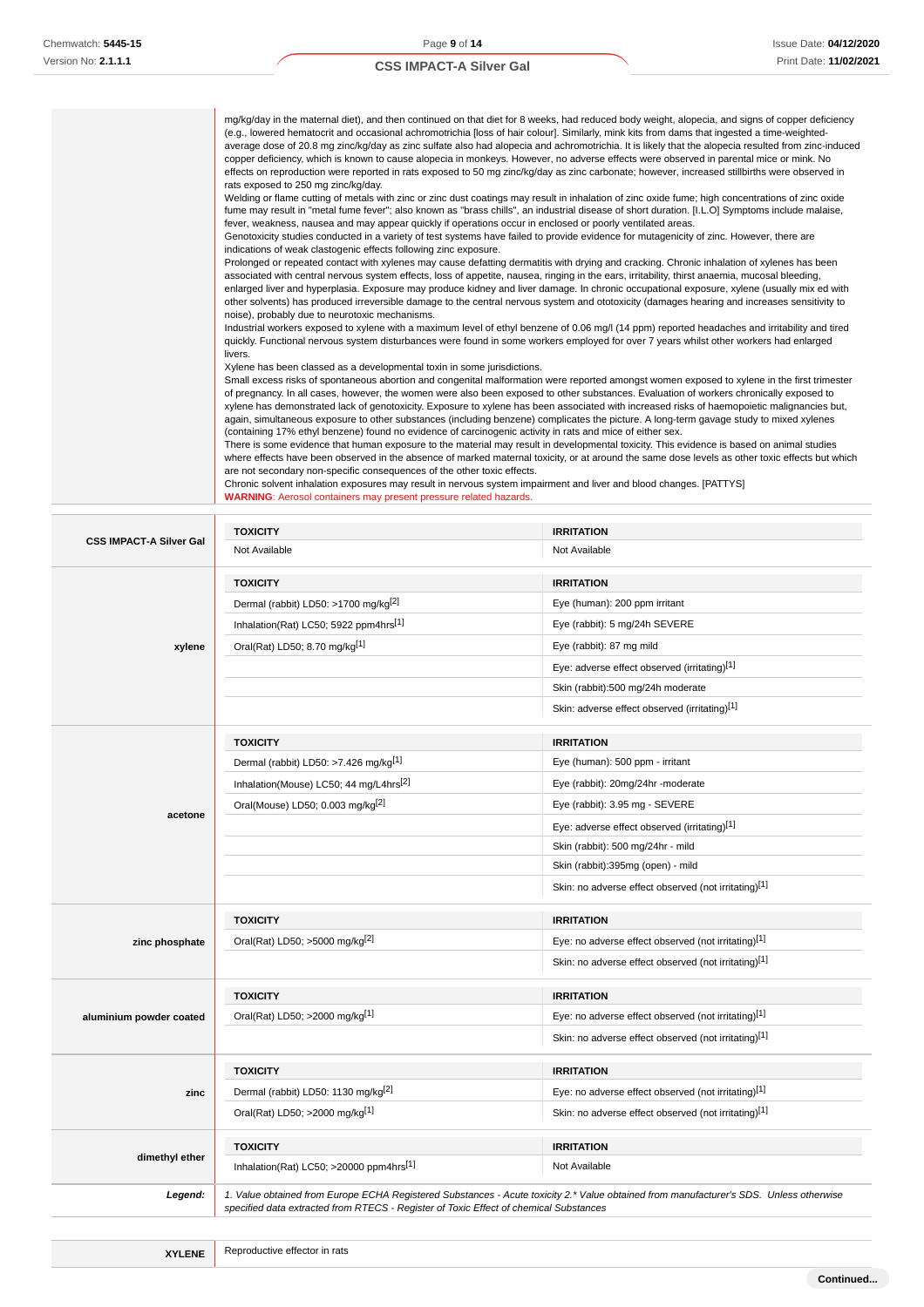Ĩ.

# **CSS IMPACT-A Silver Gal**

| mg/kg/day in the maternal diet), and then continued on that diet for 8 weeks, had reduced body weight, alopecia, and signs of copper deficiency                                                              |
|--------------------------------------------------------------------------------------------------------------------------------------------------------------------------------------------------------------|
| (e.g., lowered hematocrit and occasional achromotrichia [loss of hair colour]. Similarly, mink kits from dams that ingested a time-weighted-                                                                 |
| average dose of 20.8 mg zinc/kg/day as zinc sulfate also had alopecia and achromotrichia. It is likely that the alopecia resulted from zinc-induced                                                          |
| copper deficiency, which is known to cause alopecia in monkeys. However, no adverse effects were observed in parental mice or mink. No                                                                       |
| effects on reproduction were reported in rats exposed to 50 mg zinc/kg/day as zinc carbonate; however, increased stillbirths were observed in                                                                |
| rats exposed to 250 mg zinc/kg/day.                                                                                                                                                                          |
| Welding or flame cutting of metals with zinc or zinc dust coatings may result in inhalation of zinc oxide fume; high concentrations of zinc oxide                                                            |
| fume may result in "metal fume fever"; also known as "brass chills", an industrial disease of short duration. [I.L.O] Symptoms include malaise,                                                              |
| fever, weakness, nausea and may appear quickly if operations occur in enclosed or poorly ventilated areas.                                                                                                   |
| Genotoxicity studies conducted in a variety of test systems have failed to provide evidence for mutagenicity of zinc. However, there are<br>indications of weak clastogenic effects following zinc exposure. |
| Prolonged or repeated contact with xylenes may cause defatting dermatitis with drying and cracking. Chronic inhalation of xylenes has been                                                                   |
| associated with central nervous system effects, loss of appetite, nausea, ringing in the ears, irritability, thirst anaemia, mucosal bleeding,                                                               |
| enlarged liver and hyperplasia. Exposure may produce kidney and liver damage. In chronic occupational exposure, xylene (usually mix ed with                                                                  |
| other solvents) has produced irreversible damage to the central nervous system and ototoxicity (damages hearing and increases sensitivity to                                                                 |
| noise), probably due to neurotoxic mechanisms.                                                                                                                                                               |
| Industrial workers exposed to xylene with a maximum level of ethyl benzene of 0.06 mg/l (14 ppm) reported headaches and irritability and tired                                                               |
| quickly. Functional nervous system disturbances were found in some workers employed for over 7 years whilst other workers had enlarged                                                                       |
| livers.                                                                                                                                                                                                      |
| Xylene has been classed as a developmental toxin in some jurisdictions.                                                                                                                                      |
| Small excess risks of spontaneous abortion and congenital malformation were reported amongst women exposed to xylene in the first trimester                                                                  |
| of pregnancy. In all cases, however, the women were also been exposed to other substances. Evaluation of workers chronically exposed to                                                                      |
| xylene has demonstrated lack of genotoxicity. Exposure to xylene has been associated with increased risks of haemopoietic malignancies but,                                                                  |
| again, simultaneous exposure to other substances (including benzene) complicates the picture. A long-term gavage study to mixed xylenes                                                                      |
| (containing 17% ethyl benzene) found no evidence of carcinogenic activity in rats and mice of either sex.                                                                                                    |
| There is some evidence that human exposure to the material may result in developmental toxicity. This evidence is based on animal studies                                                                    |
| where effects have been observed in the absence of marked maternal toxicity, or at around the same dose levels as other toxic effects but which                                                              |
| are not secondary non-specific consequences of the other toxic effects.                                                                                                                                      |
| Chronic solvent inhalation exposures may result in nervous system impairment and liver and blood changes. [PATTYS]                                                                                           |
| <b>WARNING:</b> Aerosol containers may present pressure related hazards.                                                                                                                                     |

| <b>CSS IMPACT-A Silver Gal</b> | <b>TOXICITY</b>                                    | <b>IRRITATION</b>                                                                                                                      |
|--------------------------------|----------------------------------------------------|----------------------------------------------------------------------------------------------------------------------------------------|
|                                | Not Available                                      | Not Available                                                                                                                          |
|                                | <b>TOXICITY</b>                                    | <b>IRRITATION</b>                                                                                                                      |
|                                | Dermal (rabbit) LD50: >1700 mg/kg <sup>[2]</sup>   | Eye (human): 200 ppm irritant                                                                                                          |
|                                | Inhalation(Rat) LC50; 5922 ppm4hrs[1]              | Eye (rabbit): 5 mg/24h SEVERE                                                                                                          |
| xylene                         | Oral(Rat) LD50; 8.70 mg/kg[1]                      | Eye (rabbit): 87 mg mild                                                                                                               |
|                                |                                                    | Eye: adverse effect observed (irritating)[1]                                                                                           |
|                                |                                                    | Skin (rabbit):500 mg/24h moderate                                                                                                      |
|                                |                                                    | Skin: adverse effect observed (irritating)[1]                                                                                          |
|                                | <b>TOXICITY</b>                                    | <b>IRRITATION</b>                                                                                                                      |
|                                | Dermal (rabbit) LD50: >7.426 mg/kg[1]              | Eye (human): 500 ppm - irritant                                                                                                        |
|                                | Inhalation(Mouse) LC50; 44 mg/L4hrs <sup>[2]</sup> | Eye (rabbit): 20mg/24hr -moderate                                                                                                      |
|                                | Oral(Mouse) LD50; 0.003 mg/kg <sup>[2]</sup>       | Eye (rabbit): 3.95 mg - SEVERE                                                                                                         |
| acetone                        |                                                    | Eye: adverse effect observed (irritating)[1]                                                                                           |
|                                |                                                    | Skin (rabbit): 500 mg/24hr - mild                                                                                                      |
|                                |                                                    | Skin (rabbit):395mg (open) - mild                                                                                                      |
|                                |                                                    | Skin: no adverse effect observed (not irritating)[1]                                                                                   |
|                                | <b>TOXICITY</b>                                    | <b>IRRITATION</b>                                                                                                                      |
| zinc phosphate                 | Oral(Rat) LD50; >5000 mg/kg <sup>[2]</sup>         | Eye: no adverse effect observed (not irritating)[1]                                                                                    |
|                                |                                                    | Skin: no adverse effect observed (not irritating)[1]                                                                                   |
|                                | <b>TOXICITY</b>                                    | <b>IRRITATION</b>                                                                                                                      |
| aluminium powder coated        | Oral(Rat) LD50; >2000 mg/kg[1]                     | Eye: no adverse effect observed (not irritating)[1]                                                                                    |
|                                |                                                    | Skin: no adverse effect observed (not irritating)[1]                                                                                   |
|                                | <b>TOXICITY</b>                                    | <b>IRRITATION</b>                                                                                                                      |
| zinc                           | Dermal (rabbit) LD50: 1130 mg/kg <sup>[2]</sup>    | Eye: no adverse effect observed (not irritating)[1]                                                                                    |
|                                | Oral(Rat) LD50; >2000 mg/kg[1]                     | Skin: no adverse effect observed (not irritating)[1]                                                                                   |
|                                | <b>TOXICITY</b>                                    | <b>IRRITATION</b>                                                                                                                      |
| dimethyl ether                 | Inhalation(Rat) LC50; >20000 ppm4hrs[1]            | Not Available                                                                                                                          |
| Legend:                        |                                                    | 1. Value obtained from Europe ECHA Registered Substances - Acute toxicity 2.* Value obtained from manufacturer's SDS. Unless otherwise |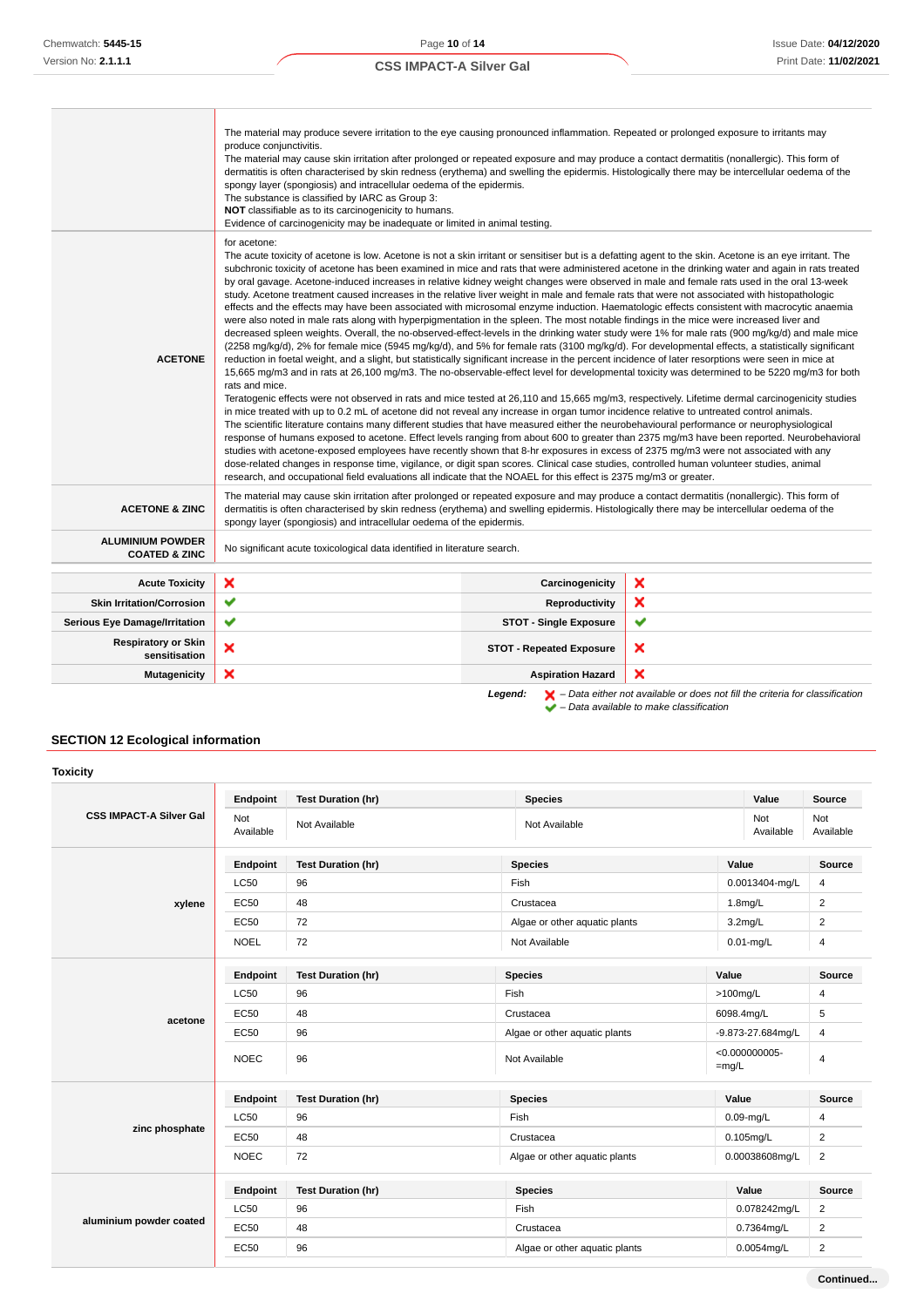|                                                     | The material may produce severe irritation to the eye causing pronounced inflammation. Repeated or prolonged exposure to irritants may<br>produce conjunctivitis.<br>The material may cause skin irritation after prolonged or repeated exposure and may produce a contact dermatitis (nonallergic). This form of<br>dermatitis is often characterised by skin redness (erythema) and swelling the epidermis. Histologically there may be intercellular oedema of the<br>spongy layer (spongiosis) and intracellular oedema of the epidermis.<br>The substance is classified by IARC as Group 3:<br>NOT classifiable as to its carcinogenicity to humans.<br>Evidence of carcinogenicity may be inadequate or limited in animal testing.                                                                                                                                                                                                                                                                                                                                                                                                                                                                                                                                                                                                                                                                                                                                                                                                                                                                                                                                                                                                                                                                                                                                                                                                                                                                                                                                                                                                                                                                                                                                                                                                                                                                                          |                                 |                                                                                                    |  |
|-----------------------------------------------------|-----------------------------------------------------------------------------------------------------------------------------------------------------------------------------------------------------------------------------------------------------------------------------------------------------------------------------------------------------------------------------------------------------------------------------------------------------------------------------------------------------------------------------------------------------------------------------------------------------------------------------------------------------------------------------------------------------------------------------------------------------------------------------------------------------------------------------------------------------------------------------------------------------------------------------------------------------------------------------------------------------------------------------------------------------------------------------------------------------------------------------------------------------------------------------------------------------------------------------------------------------------------------------------------------------------------------------------------------------------------------------------------------------------------------------------------------------------------------------------------------------------------------------------------------------------------------------------------------------------------------------------------------------------------------------------------------------------------------------------------------------------------------------------------------------------------------------------------------------------------------------------------------------------------------------------------------------------------------------------------------------------------------------------------------------------------------------------------------------------------------------------------------------------------------------------------------------------------------------------------------------------------------------------------------------------------------------------------------------------------------------------------------------------------------------------|---------------------------------|----------------------------------------------------------------------------------------------------|--|
| <b>ACETONE</b>                                      | for acetone:<br>The acute toxicity of acetone is low. Acetone is not a skin irritant or sensitiser but is a defatting agent to the skin. Acetone is an eye irritant. The<br>subchronic toxicity of acetone has been examined in mice and rats that were administered acetone in the drinking water and again in rats treated<br>by oral gavage. Acetone-induced increases in relative kidney weight changes were observed in male and female rats used in the oral 13-week<br>study. Acetone treatment caused increases in the relative liver weight in male and female rats that were not associated with histopathologic<br>effects and the effects may have been associated with microsomal enzyme induction. Haematologic effects consistent with macrocytic anaemia<br>were also noted in male rats along with hyperpigmentation in the spleen. The most notable findings in the mice were increased liver and<br>decreased spleen weights. Overall, the no-observed-effect-levels in the drinking water study were 1% for male rats (900 mg/kg/d) and male mice<br>(2258 mg/kg/d), 2% for female mice (5945 mg/kg/d), and 5% for female rats (3100 mg/kg/d). For developmental effects, a statistically significant<br>reduction in foetal weight, and a slight, but statistically significant increase in the percent incidence of later resorptions were seen in mice at<br>15,665 mg/m3 and in rats at 26,100 mg/m3. The no-observable-effect level for developmental toxicity was determined to be 5220 mg/m3 for both<br>rats and mice.<br>Teratogenic effects were not observed in rats and mice tested at 26,110 and 15,665 mg/m3, respectively. Lifetime dermal carcinogenicity studies<br>in mice treated with up to 0.2 mL of acetone did not reveal any increase in organ tumor incidence relative to untreated control animals.<br>The scientific literature contains many different studies that have measured either the neurobehavioural performance or neurophysiological<br>response of humans exposed to acetone. Effect levels ranging from about 600 to greater than 2375 mg/m3 have been reported. Neurobehavioral<br>studies with acetone-exposed employees have recently shown that 8-hr exposures in excess of 2375 mg/m3 were not associated with any<br>dose-related changes in response time, vigilance, or digit span scores. Clinical case studies, controlled human volunteer studies, animal |                                 |                                                                                                    |  |
| <b>ACETONE &amp; ZINC</b>                           | The material may cause skin irritation after prolonged or repeated exposure and may produce a contact dermatitis (nonallergic). This form of<br>dermatitis is often characterised by skin redness (erythema) and swelling epidermis. Histologically there may be intercellular oedema of the<br>spongy layer (spongiosis) and intracellular oedema of the epidermis.                                                                                                                                                                                                                                                                                                                                                                                                                                                                                                                                                                                                                                                                                                                                                                                                                                                                                                                                                                                                                                                                                                                                                                                                                                                                                                                                                                                                                                                                                                                                                                                                                                                                                                                                                                                                                                                                                                                                                                                                                                                              |                                 |                                                                                                    |  |
| <b>ALUMINIUM POWDER</b><br><b>COATED &amp; ZINC</b> | No significant acute toxicological data identified in literature search.                                                                                                                                                                                                                                                                                                                                                                                                                                                                                                                                                                                                                                                                                                                                                                                                                                                                                                                                                                                                                                                                                                                                                                                                                                                                                                                                                                                                                                                                                                                                                                                                                                                                                                                                                                                                                                                                                                                                                                                                                                                                                                                                                                                                                                                                                                                                                          |                                 |                                                                                                    |  |
| <b>Acute Toxicity</b>                               | ×                                                                                                                                                                                                                                                                                                                                                                                                                                                                                                                                                                                                                                                                                                                                                                                                                                                                                                                                                                                                                                                                                                                                                                                                                                                                                                                                                                                                                                                                                                                                                                                                                                                                                                                                                                                                                                                                                                                                                                                                                                                                                                                                                                                                                                                                                                                                                                                                                                 | Carcinogenicity                 | ×                                                                                                  |  |
| <b>Skin Irritation/Corrosion</b>                    | $\checkmark$                                                                                                                                                                                                                                                                                                                                                                                                                                                                                                                                                                                                                                                                                                                                                                                                                                                                                                                                                                                                                                                                                                                                                                                                                                                                                                                                                                                                                                                                                                                                                                                                                                                                                                                                                                                                                                                                                                                                                                                                                                                                                                                                                                                                                                                                                                                                                                                                                      | Reproductivity                  | ×                                                                                                  |  |
| <b>Serious Eye Damage/Irritation</b>                | ✔                                                                                                                                                                                                                                                                                                                                                                                                                                                                                                                                                                                                                                                                                                                                                                                                                                                                                                                                                                                                                                                                                                                                                                                                                                                                                                                                                                                                                                                                                                                                                                                                                                                                                                                                                                                                                                                                                                                                                                                                                                                                                                                                                                                                                                                                                                                                                                                                                                 | <b>STOT - Single Exposure</b>   | ✔                                                                                                  |  |
| <b>Respiratory or Skin</b><br>sensitisation         | ×                                                                                                                                                                                                                                                                                                                                                                                                                                                                                                                                                                                                                                                                                                                                                                                                                                                                                                                                                                                                                                                                                                                                                                                                                                                                                                                                                                                                                                                                                                                                                                                                                                                                                                                                                                                                                                                                                                                                                                                                                                                                                                                                                                                                                                                                                                                                                                                                                                 | <b>STOT - Repeated Exposure</b> | ×                                                                                                  |  |
| <b>Mutagenicity</b>                                 | ×                                                                                                                                                                                                                                                                                                                                                                                                                                                                                                                                                                                                                                                                                                                                                                                                                                                                                                                                                                                                                                                                                                                                                                                                                                                                                                                                                                                                                                                                                                                                                                                                                                                                                                                                                                                                                                                                                                                                                                                                                                                                                                                                                                                                                                                                                                                                                                                                                                 | <b>Aspiration Hazard</b>        | ×                                                                                                  |  |
|                                                     |                                                                                                                                                                                                                                                                                                                                                                                                                                                                                                                                                                                                                                                                                                                                                                                                                                                                                                                                                                                                                                                                                                                                                                                                                                                                                                                                                                                                                                                                                                                                                                                                                                                                                                                                                                                                                                                                                                                                                                                                                                                                                                                                                                                                                                                                                                                                                                                                                                   | Legend:                         | $\blacktriangleright$ - Data either not available or does not fill the criteria for classification |  |

– Data available to make classification

# **SECTION 12 Ecological information**

|                                | Endpoint         | <b>Test Duration (hr)</b> | <b>Species</b>                | Value                         | Source                  |
|--------------------------------|------------------|---------------------------|-------------------------------|-------------------------------|-------------------------|
| <b>CSS IMPACT-A Silver Gal</b> | Not<br>Available | Not Available             | Not Available                 | Not<br>Available              | Not<br>Available        |
|                                | Endpoint         | <b>Test Duration (hr)</b> | <b>Species</b>                | Value                         | <b>Source</b>           |
|                                | <b>LC50</b>      | 96                        | Fish                          | 0.0013404-mg/L                | 4                       |
| xylene                         | <b>EC50</b>      | 48                        | Crustacea                     | $1.8$ mg/L                    | $\overline{2}$          |
|                                | <b>EC50</b>      | 72                        | Algae or other aquatic plants | $3.2$ mg/L                    | $\overline{\mathbf{c}}$ |
|                                | <b>NOEL</b>      | 72                        | Not Available                 | $0.01$ -mg/L                  | $\overline{4}$          |
| acetone                        | Endpoint         | <b>Test Duration (hr)</b> | <b>Species</b>                | Value                         | Source                  |
|                                | <b>LC50</b>      | 96                        | Fish                          | $>100$ mg/L                   | 4                       |
|                                | <b>EC50</b>      | 48                        | Crustacea                     | 6098.4mg/L                    | 5                       |
|                                | <b>EC50</b>      | 96                        | Algae or other aquatic plants | -9.873-27.684mg/L             | $\overline{4}$          |
|                                | <b>NOEC</b>      | 96                        | Not Available                 | $< 0.000000005$ -<br>$=$ mg/L | $\overline{4}$          |
|                                | Endpoint         | <b>Test Duration (hr)</b> | <b>Species</b>                | Value                         | Source                  |
|                                | <b>LC50</b>      | 96                        | Fish                          | $0.09$ -mg/L                  | 4                       |
| zinc phosphate                 | <b>EC50</b>      | 48                        | Crustacea                     | $0.105$ mg/L                  | $\overline{2}$          |
|                                | <b>NOEC</b>      | 72                        | Algae or other aquatic plants | 0.00038608mg/L                | $\overline{2}$          |
|                                | Endpoint         | <b>Test Duration (hr)</b> | <b>Species</b>                | Value                         | Source                  |
|                                | <b>LC50</b>      | 96                        | Fish                          | 0.078242mg/L                  | $\overline{2}$          |
| aluminium powder coated        | <b>EC50</b>      | 48                        | Crustacea                     | 0.7364mg/L                    | $\overline{2}$          |
|                                | <b>EC50</b>      | 96                        | Algae or other aquatic plants | 0.0054mg/L                    | $\overline{2}$          |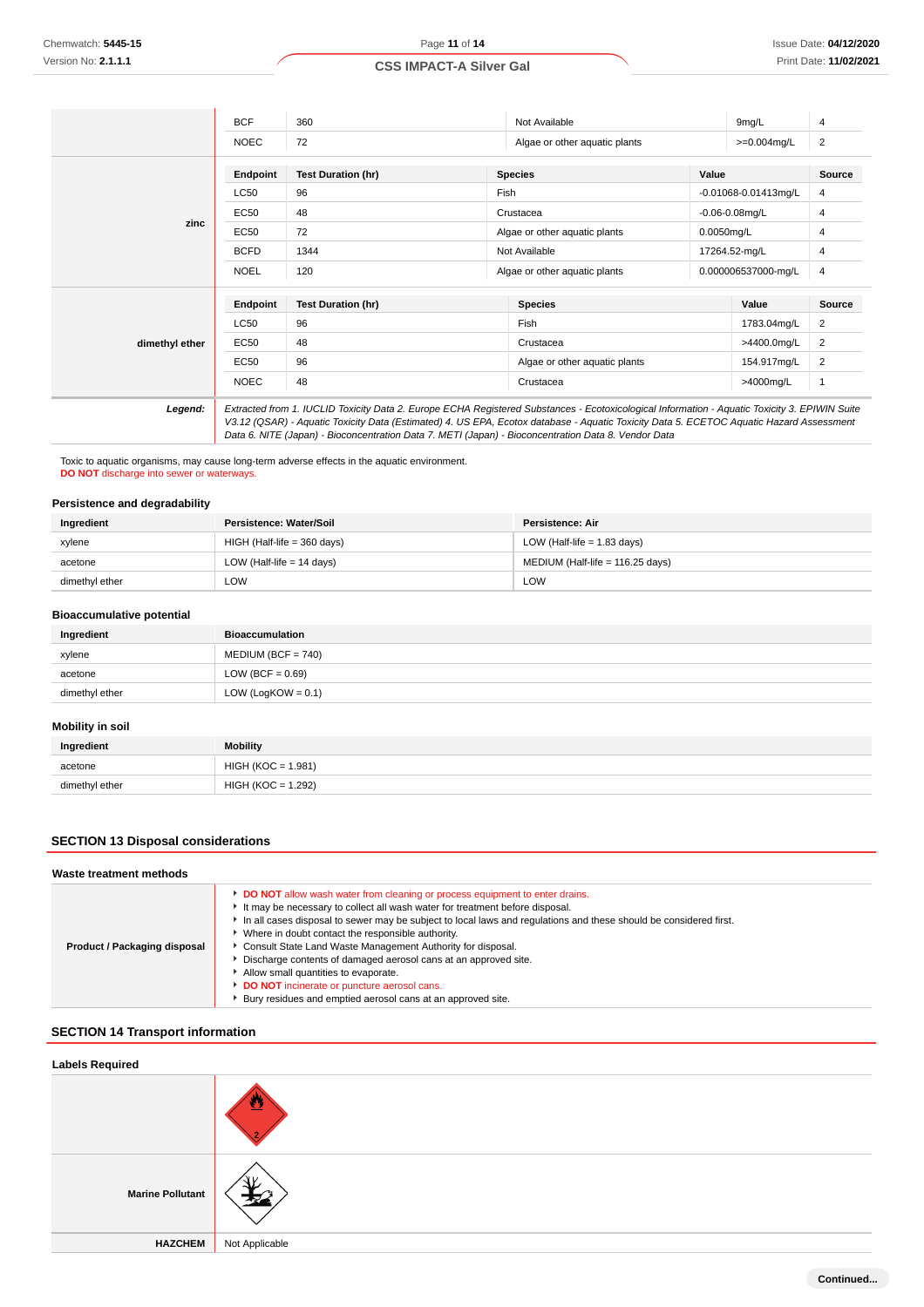|                | <b>BCF</b>  | 360                       | Not Available                                                                                                                                                                                                                                                                                                                                                                                   |       | 9 <sub>mg/L</sub>    | 4             |
|----------------|-------------|---------------------------|-------------------------------------------------------------------------------------------------------------------------------------------------------------------------------------------------------------------------------------------------------------------------------------------------------------------------------------------------------------------------------------------------|-------|----------------------|---------------|
|                | <b>NOEC</b> | 72                        | Algae or other aquatic plants                                                                                                                                                                                                                                                                                                                                                                   |       | $>=0.004$ mg/L       | 2             |
|                | Endpoint    | <b>Test Duration (hr)</b> | <b>Species</b>                                                                                                                                                                                                                                                                                                                                                                                  | Value |                      | Source        |
|                | <b>LC50</b> | 96                        | Fish                                                                                                                                                                                                                                                                                                                                                                                            |       | -0.01068-0.01413mg/L | 4             |
|                | <b>EC50</b> | 48                        | Crustacea                                                                                                                                                                                                                                                                                                                                                                                       |       | $-0.06 - 0.08$ mg/L  | 4             |
| zinc           | <b>EC50</b> | 72                        | Algae or other aquatic plants                                                                                                                                                                                                                                                                                                                                                                   |       | 0.0050mg/L           | 4             |
|                | <b>BCFD</b> | 1344                      | Not Available                                                                                                                                                                                                                                                                                                                                                                                   |       | 17264.52-mg/L        | 4             |
|                | <b>NOEL</b> | 120                       | Algae or other aquatic plants                                                                                                                                                                                                                                                                                                                                                                   |       | 0.000006537000-mg/L  | 4             |
|                | Endpoint    | <b>Test Duration (hr)</b> | <b>Species</b>                                                                                                                                                                                                                                                                                                                                                                                  |       | Value                | <b>Source</b> |
|                | <b>LC50</b> | 96                        | Fish                                                                                                                                                                                                                                                                                                                                                                                            |       | 1783.04mg/L          | 2             |
| dimethyl ether | <b>EC50</b> | 48                        | Crustacea                                                                                                                                                                                                                                                                                                                                                                                       |       | >4400.0mg/L          | 2             |
|                | <b>EC50</b> | 96                        | Algae or other aquatic plants                                                                                                                                                                                                                                                                                                                                                                   |       | 154.917mg/L          | 2             |
|                | <b>NOEC</b> | 48                        | Crustacea                                                                                                                                                                                                                                                                                                                                                                                       |       | >4000mg/L            | $\mathbf{1}$  |
| Legend:        |             |                           | Extracted from 1. IUCLID Toxicity Data 2. Europe ECHA Registered Substances - Ecotoxicological Information - Aquatic Toxicity 3. EPIWIN Suite<br>V3.12 (QSAR) - Aquatic Toxicity Data (Estimated) 4. US EPA, Ecotox database - Aquatic Toxicity Data 5. ECETOC Aquatic Hazard Assessment<br>Data 6. NITE (Japan) - Bioconcentration Data 7. METI (Japan) - Bioconcentration Data 8. Vendor Data |       |                      |               |

Toxic to aquatic organisms, may cause long-term adverse effects in the aquatic environment. **DO NOT** discharge into sewer or waterways.

# **Persistence and degradability**

| Ingredient     | Persistence: Water/Soil     | Persistence: Air                 |
|----------------|-----------------------------|----------------------------------|
| xylene         | HIGH (Half-life = 360 days) | LOW (Half-life $= 1.83$ days)    |
| acetone        | LOW (Half-life $= 14$ days) | MEDIUM (Half-life = 116.25 days) |
| dimethyl ether | LOW                         | LOW                              |

#### **Bioaccumulative potential**

| Ingredient     | <b>Bioaccumulation</b> |
|----------------|------------------------|
| xylene         | $MEDIUM (BCF = 740)$   |
| acetone        | LOW (BCF = $0.69$ )    |
| dimethyl ether | LOW (LogKOW = $0.1$ )  |

#### **Mobility in soil**

| Ingredient     | Mobility             |
|----------------|----------------------|
| acetone<br>.   | $HIGH (KOC = 1.981)$ |
| dimethyl ether | $HIGH (KOC = 1.292)$ |

# **SECTION 13 Disposal considerations**

| Waste treatment methods      |                                                                                                                                                                                                                                                                                                                                                                                                                                                                                                                                                                                                                                                       |  |  |  |
|------------------------------|-------------------------------------------------------------------------------------------------------------------------------------------------------------------------------------------------------------------------------------------------------------------------------------------------------------------------------------------------------------------------------------------------------------------------------------------------------------------------------------------------------------------------------------------------------------------------------------------------------------------------------------------------------|--|--|--|
| Product / Packaging disposal | <b>DO NOT</b> allow wash water from cleaning or process equipment to enter drains.<br>It may be necessary to collect all wash water for treatment before disposal.<br>In all cases disposal to sewer may be subject to local laws and regulations and these should be considered first.<br>• Where in doubt contact the responsible authority.<br>Consult State Land Waste Management Authority for disposal.<br>Discharge contents of damaged aerosol cans at an approved site.<br>Allow small quantities to evaporate.<br><b>DO NOT</b> incinerate or puncture aerosol cans.<br>Example Bury residues and emptied aerosol cans at an approved site. |  |  |  |

# **SECTION 14 Transport information**

| <b>Labels Required</b>  |                |  |  |
|-------------------------|----------------|--|--|
|                         | ≃              |  |  |
| <b>Marine Pollutant</b> | ॠ              |  |  |
| <b>HAZCHEM</b>          | Not Applicable |  |  |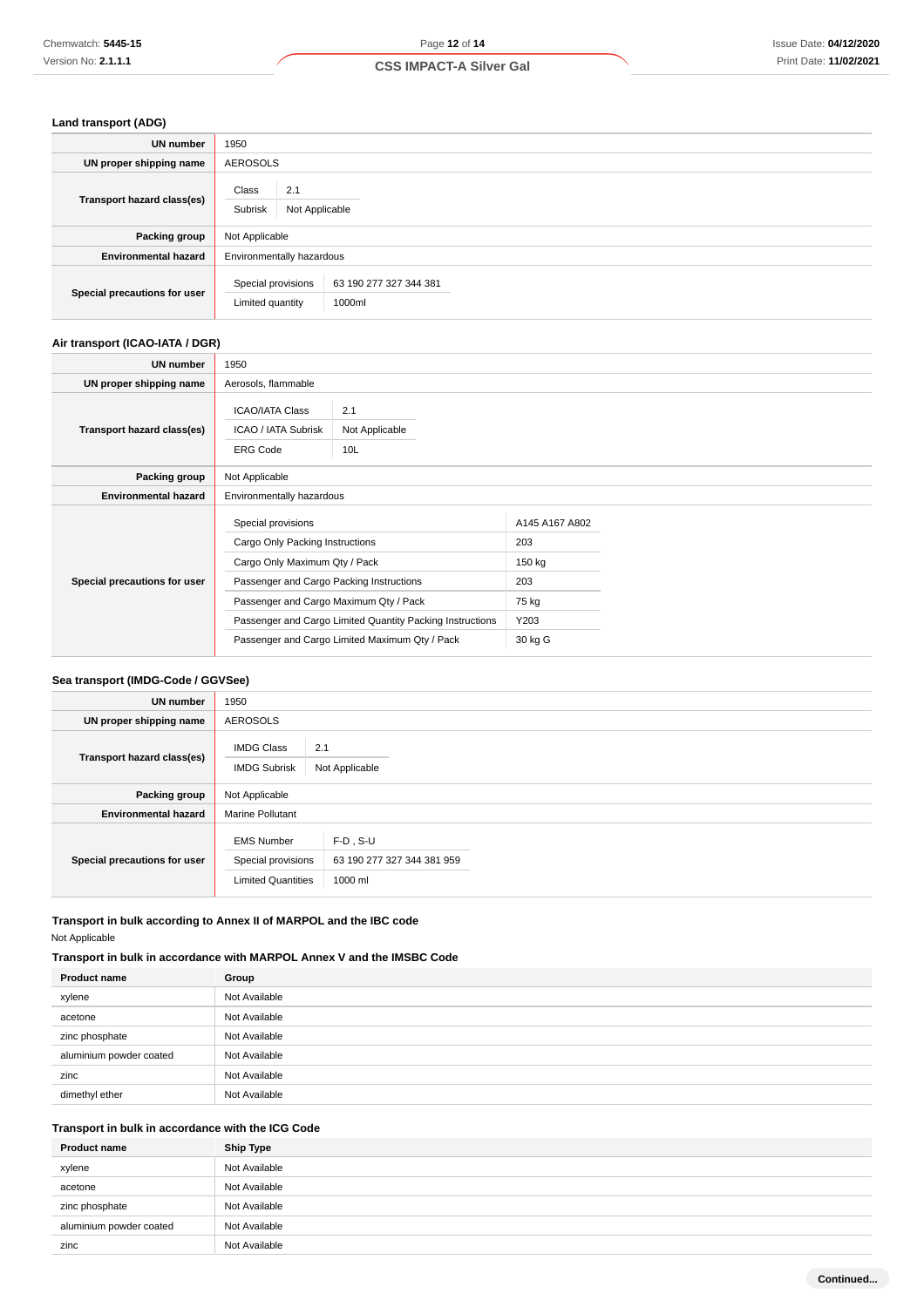# **Land transport (ADG)**

| <b>UN</b> number             | 1950                                      |                                  |  |
|------------------------------|-------------------------------------------|----------------------------------|--|
| UN proper shipping name      | <b>AEROSOLS</b>                           |                                  |  |
| Transport hazard class(es)   | Class<br>2.1<br>Subrisk<br>Not Applicable |                                  |  |
| Packing group                | Not Applicable                            |                                  |  |
| <b>Environmental hazard</b>  | Environmentally hazardous                 |                                  |  |
| Special precautions for user | Special provisions<br>Limited quantity    | 63 190 277 327 344 381<br>1000ml |  |

# **Air transport (ICAO-IATA / DGR)**

| UN number                    | 1950                                                                                                                                                                                                                                                                                        |  |                                                                    |  |
|------------------------------|---------------------------------------------------------------------------------------------------------------------------------------------------------------------------------------------------------------------------------------------------------------------------------------------|--|--------------------------------------------------------------------|--|
| UN proper shipping name      | Aerosols, flammable                                                                                                                                                                                                                                                                         |  |                                                                    |  |
| Transport hazard class(es)   | <b>ICAO/IATA Class</b><br>2.1<br>ICAO / IATA Subrisk<br>Not Applicable<br><b>ERG Code</b><br>10L                                                                                                                                                                                            |  |                                                                    |  |
| Packing group                | Not Applicable                                                                                                                                                                                                                                                                              |  |                                                                    |  |
| <b>Environmental hazard</b>  | Environmentally hazardous                                                                                                                                                                                                                                                                   |  |                                                                    |  |
| Special precautions for user | Special provisions<br>Cargo Only Packing Instructions<br>Cargo Only Maximum Qty / Pack<br>Passenger and Cargo Packing Instructions<br>Passenger and Cargo Maximum Qty / Pack<br>Passenger and Cargo Limited Quantity Packing Instructions<br>Passenger and Cargo Limited Maximum Qty / Pack |  | A145 A167 A802<br>203<br>150 kg<br>203<br>75 kg<br>Y203<br>30 kg G |  |

# **Sea transport (IMDG-Code / GGVSee)**

| <b>UN number</b>             | 1950                                                                 |                                                      |  |  |
|------------------------------|----------------------------------------------------------------------|------------------------------------------------------|--|--|
| UN proper shipping name      | <b>AEROSOLS</b>                                                      |                                                      |  |  |
| Transport hazard class(es)   | 2.1<br><b>IMDG Class</b><br><b>IMDG Subrisk</b><br>Not Applicable    |                                                      |  |  |
| Packing group                | Not Applicable                                                       |                                                      |  |  |
| <b>Environmental hazard</b>  | <b>Marine Pollutant</b>                                              |                                                      |  |  |
| Special precautions for user | <b>EMS Number</b><br>Special provisions<br><b>Limited Quantities</b> | $F-D$ , S-U<br>63 190 277 327 344 381 959<br>1000 ml |  |  |

### **Transport in bulk according to Annex II of MARPOL and the IBC code** Not Applicable

# **Transport in bulk in accordance with MARPOL Annex V and the IMSBC Code**

| <b>Product name</b>     | Group         |
|-------------------------|---------------|
| xylene                  | Not Available |
| acetone                 | Not Available |
| zinc phosphate          | Not Available |
| aluminium powder coated | Not Available |
| zinc                    | Not Available |
| dimethyl ether          | Not Available |

# **Transport in bulk in accordance with the ICG Code**

| <b>Product name</b>     | <b>Ship Type</b> |
|-------------------------|------------------|
| xylene                  | Not Available    |
| acetone                 | Not Available    |
| zinc phosphate          | Not Available    |
| aluminium powder coated | Not Available    |
| zinc                    | Not Available    |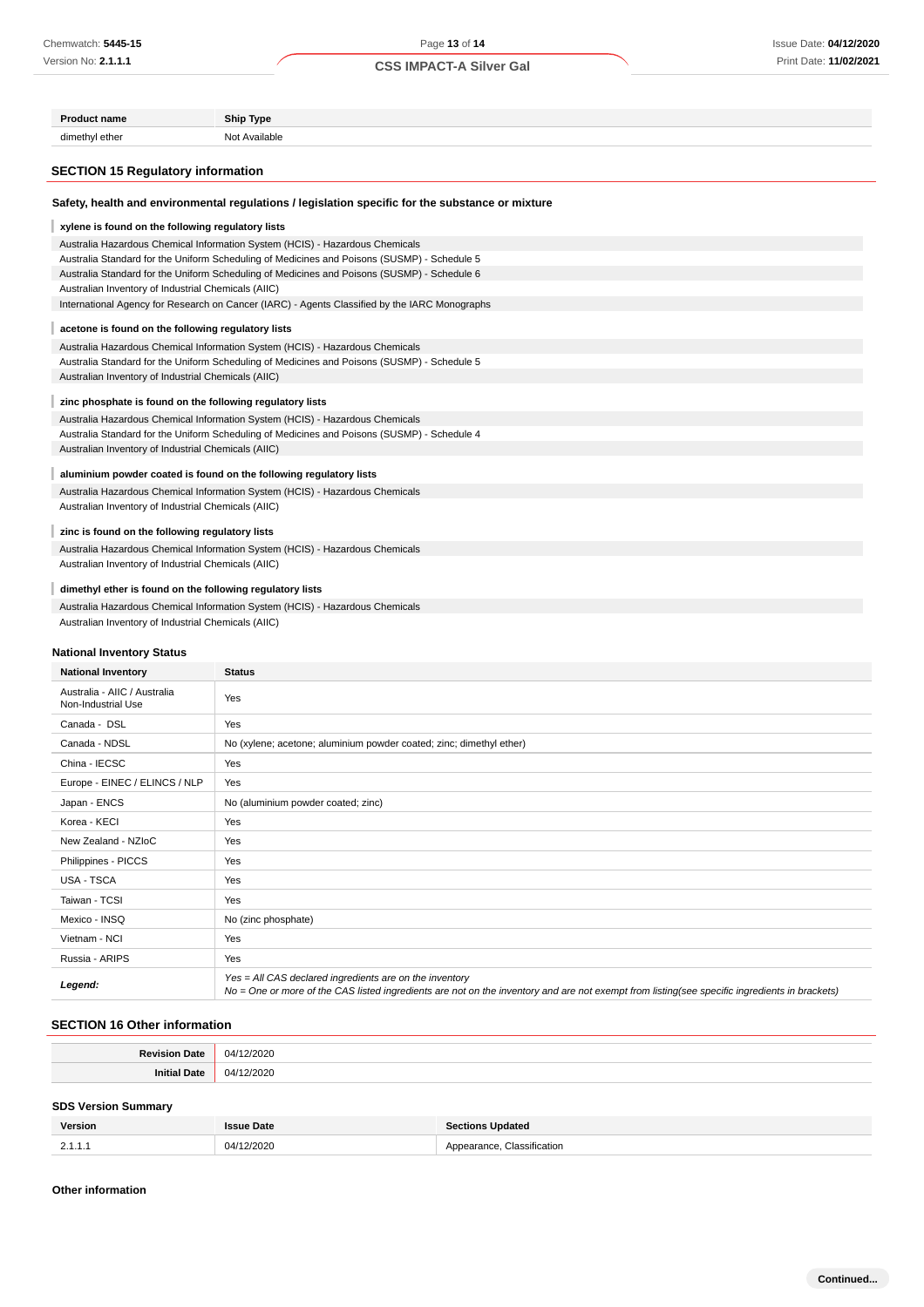### Page **13** of **14**

# **CSS IMPACT-A Silver Gal**

| <b>Product name</b>                                                                         | <b>Ship Type</b>                                                                                 |  |  |  |
|---------------------------------------------------------------------------------------------|--------------------------------------------------------------------------------------------------|--|--|--|
| dimethyl ether                                                                              | Not Available                                                                                    |  |  |  |
|                                                                                             |                                                                                                  |  |  |  |
| <b>SECTION 15 Regulatory information</b>                                                    |                                                                                                  |  |  |  |
|                                                                                             | Safety, health and environmental regulations / legislation specific for the substance or mixture |  |  |  |
| xylene is found on the following regulatory lists                                           |                                                                                                  |  |  |  |
|                                                                                             | Australia Hazardous Chemical Information System (HCIS) - Hazardous Chemicals                     |  |  |  |
| Australia Standard for the Uniform Scheduling of Medicines and Poisons (SUSMP) - Schedule 5 |                                                                                                  |  |  |  |
| Australian Inventory of Industrial Chemicals (AIIC)                                         | Australia Standard for the Uniform Scheduling of Medicines and Poisons (SUSMP) - Schedule 6      |  |  |  |
|                                                                                             | International Agency for Research on Cancer (IARC) - Agents Classified by the IARC Monographs    |  |  |  |
|                                                                                             |                                                                                                  |  |  |  |
| acetone is found on the following regulatory lists                                          | Australia Hazardous Chemical Information System (HCIS) - Hazardous Chemicals                     |  |  |  |
|                                                                                             | Australia Standard for the Uniform Scheduling of Medicines and Poisons (SUSMP) - Schedule 5      |  |  |  |
| Australian Inventory of Industrial Chemicals (AIIC)                                         |                                                                                                  |  |  |  |
| zinc phosphate is found on the following regulatory lists                                   |                                                                                                  |  |  |  |
|                                                                                             | Australia Hazardous Chemical Information System (HCIS) - Hazardous Chemicals                     |  |  |  |
|                                                                                             | Australia Standard for the Uniform Scheduling of Medicines and Poisons (SUSMP) - Schedule 4      |  |  |  |
| Australian Inventory of Industrial Chemicals (AIIC)                                         |                                                                                                  |  |  |  |
|                                                                                             | aluminium powder coated is found on the following regulatory lists                               |  |  |  |
|                                                                                             | Australia Hazardous Chemical Information System (HCIS) - Hazardous Chemicals                     |  |  |  |
| Australian Inventory of Industrial Chemicals (AIIC)                                         |                                                                                                  |  |  |  |
| zinc is found on the following regulatory lists                                             |                                                                                                  |  |  |  |
|                                                                                             | Australia Hazardous Chemical Information System (HCIS) - Hazardous Chemicals                     |  |  |  |
| Australian Inventory of Industrial Chemicals (AIIC)                                         |                                                                                                  |  |  |  |
| dimethyl ether is found on the following regulatory lists                                   |                                                                                                  |  |  |  |
|                                                                                             | Australia Hazardous Chemical Information System (HCIS) - Hazardous Chemicals                     |  |  |  |
| Australian Inventory of Industrial Chemicals (AIIC)                                         |                                                                                                  |  |  |  |
| National Inventory Status                                                                   |                                                                                                  |  |  |  |
| <b>National Inventory</b>                                                                   | <b>Status</b>                                                                                    |  |  |  |
| Australia - AIIC / Australia                                                                |                                                                                                  |  |  |  |
| Non-Industrial Use                                                                          | Yes                                                                                              |  |  |  |
| Canada - DSL                                                                                | Yes                                                                                              |  |  |  |
| Canada - NDSL                                                                               | No (xylene; acetone; aluminium powder coated; zinc; dimethyl ether)                              |  |  |  |
| China - IECSC                                                                               | Yes                                                                                              |  |  |  |
| Europe - EINEC / ELINCS / NLP                                                               | Yes                                                                                              |  |  |  |
| Japan - ENCS                                                                                | No (aluminium powder coated; zinc)                                                               |  |  |  |
| Korea - KECI                                                                                | Yes                                                                                              |  |  |  |
| New Zealand - NZIoC                                                                         | Yes                                                                                              |  |  |  |
| Philippines - PICCS                                                                         | Yes                                                                                              |  |  |  |
| USA - TSCA                                                                                  | Yes                                                                                              |  |  |  |
| Taiwan - TCSI                                                                               | Yes                                                                                              |  |  |  |
| Mexico - INSQ                                                                               | No (zinc phosphate)                                                                              |  |  |  |
| Vietnam - NCI                                                                               | Yes                                                                                              |  |  |  |
| Russia - ARIPS                                                                              | Yes                                                                                              |  |  |  |

Yes = All CAS declared ingredients are on the inventory<br>No = One or more of the CAS listed ingredients are not on the inventory and are not exempt from listing(see specific ingredients in brackets)

# **SECTION 16 Other information**

| $\mathbf{z}$<br>. |
|-------------------|
| ۱л<br>.           |

#### **SDS Version Summary**

| Version               | issue Date | ∹tions Updated |
|-----------------------|------------|----------------|
| 21'<br><b>4.1.1.1</b> | 04/12/2020 | Classification |

#### **Other information**